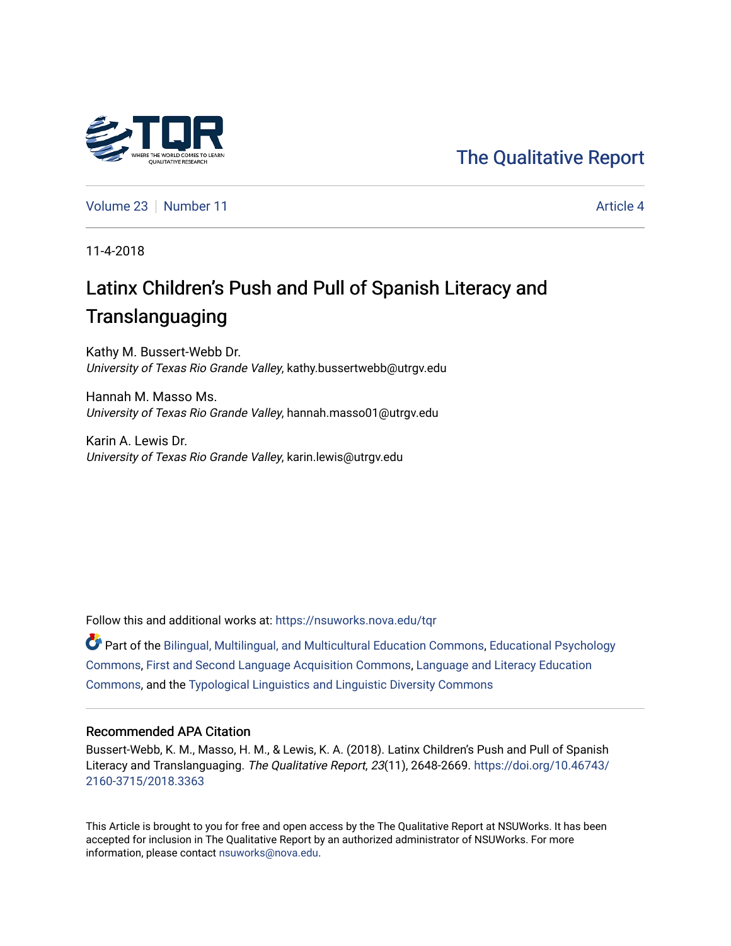# [The Qualitative Report](https://nsuworks.nova.edu/tqr)

[Volume 23](https://nsuworks.nova.edu/tqr/vol23) [Number 11](https://nsuworks.nova.edu/tqr/vol23/iss11) Article 4

11-4-2018

# Latinx Children's Push and Pull of Spanish Literacy and **Translanguaging**

Kathy M. Bussert-Webb Dr. University of Texas Rio Grande Valley, kathy.bussertwebb@utrgv.edu

Hannah M. Masso Ms. University of Texas Rio Grande Valley, hannah.masso01@utrgv.edu

Karin A. Lewis Dr. University of Texas Rio Grande Valley, karin.lewis@utrgv.edu

Follow this and additional works at: [https://nsuworks.nova.edu/tqr](https://nsuworks.nova.edu/tqr?utm_source=nsuworks.nova.edu%2Ftqr%2Fvol23%2Fiss11%2F4&utm_medium=PDF&utm_campaign=PDFCoverPages) 

Part of the [Bilingual, Multilingual, and Multicultural Education Commons,](http://network.bepress.com/hgg/discipline/785?utm_source=nsuworks.nova.edu%2Ftqr%2Fvol23%2Fiss11%2F4&utm_medium=PDF&utm_campaign=PDFCoverPages) [Educational Psychology](http://network.bepress.com/hgg/discipline/798?utm_source=nsuworks.nova.edu%2Ftqr%2Fvol23%2Fiss11%2F4&utm_medium=PDF&utm_campaign=PDFCoverPages)  [Commons](http://network.bepress.com/hgg/discipline/798?utm_source=nsuworks.nova.edu%2Ftqr%2Fvol23%2Fiss11%2F4&utm_medium=PDF&utm_campaign=PDFCoverPages), [First and Second Language Acquisition Commons](http://network.bepress.com/hgg/discipline/377?utm_source=nsuworks.nova.edu%2Ftqr%2Fvol23%2Fiss11%2F4&utm_medium=PDF&utm_campaign=PDFCoverPages), [Language and Literacy Education](http://network.bepress.com/hgg/discipline/1380?utm_source=nsuworks.nova.edu%2Ftqr%2Fvol23%2Fiss11%2F4&utm_medium=PDF&utm_campaign=PDFCoverPages)  [Commons](http://network.bepress.com/hgg/discipline/1380?utm_source=nsuworks.nova.edu%2Ftqr%2Fvol23%2Fiss11%2F4&utm_medium=PDF&utm_campaign=PDFCoverPages), and the [Typological Linguistics and Linguistic Diversity Commons](http://network.bepress.com/hgg/discipline/378?utm_source=nsuworks.nova.edu%2Ftqr%2Fvol23%2Fiss11%2F4&utm_medium=PDF&utm_campaign=PDFCoverPages)

#### Recommended APA Citation

Bussert-Webb, K. M., Masso, H. M., & Lewis, K. A. (2018). Latinx Children's Push and Pull of Spanish Literacy and Translanguaging. The Qualitative Report, 23(11), 2648-2669. [https://doi.org/10.46743/](https://doi.org/10.46743/2160-3715/2018.3363) [2160-3715/2018.3363](https://doi.org/10.46743/2160-3715/2018.3363)

This Article is brought to you for free and open access by the The Qualitative Report at NSUWorks. It has been accepted for inclusion in The Qualitative Report by an authorized administrator of NSUWorks. For more information, please contact [nsuworks@nova.edu.](mailto:nsuworks@nova.edu)

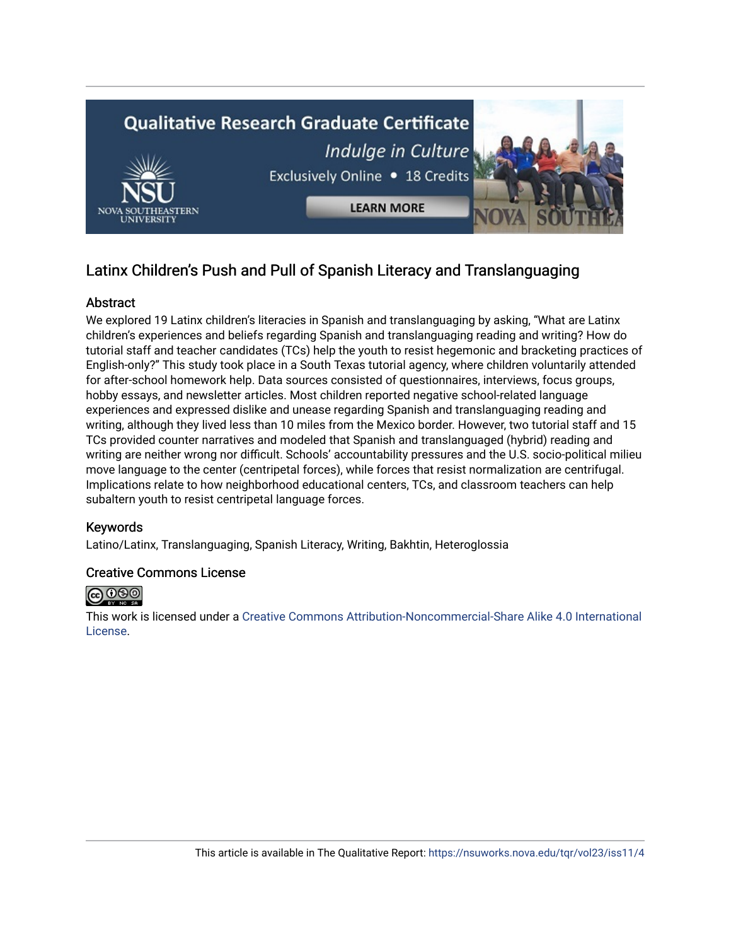

# Latinx Children's Push and Pull of Spanish Literacy and Translanguaging

## Abstract

We explored 19 Latinx children's literacies in Spanish and translanguaging by asking, "What are Latinx children's experiences and beliefs regarding Spanish and translanguaging reading and writing? How do tutorial staff and teacher candidates (TCs) help the youth to resist hegemonic and bracketing practices of English-only?" This study took place in a South Texas tutorial agency, where children voluntarily attended for after-school homework help. Data sources consisted of questionnaires, interviews, focus groups, hobby essays, and newsletter articles. Most children reported negative school-related language experiences and expressed dislike and unease regarding Spanish and translanguaging reading and writing, although they lived less than 10 miles from the Mexico border. However, two tutorial staff and 15 TCs provided counter narratives and modeled that Spanish and translanguaged (hybrid) reading and writing are neither wrong nor difficult. Schools' accountability pressures and the U.S. socio-political milieu move language to the center (centripetal forces), while forces that resist normalization are centrifugal. Implications relate to how neighborhood educational centers, TCs, and classroom teachers can help subaltern youth to resist centripetal language forces.

### Keywords

Latino/Latinx, Translanguaging, Spanish Literacy, Writing, Bakhtin, Heteroglossia

#### Creative Commons License



This work is licensed under a [Creative Commons Attribution-Noncommercial-Share Alike 4.0 International](https://creativecommons.org/licenses/by-nc-sa/4.0/)  [License](https://creativecommons.org/licenses/by-nc-sa/4.0/).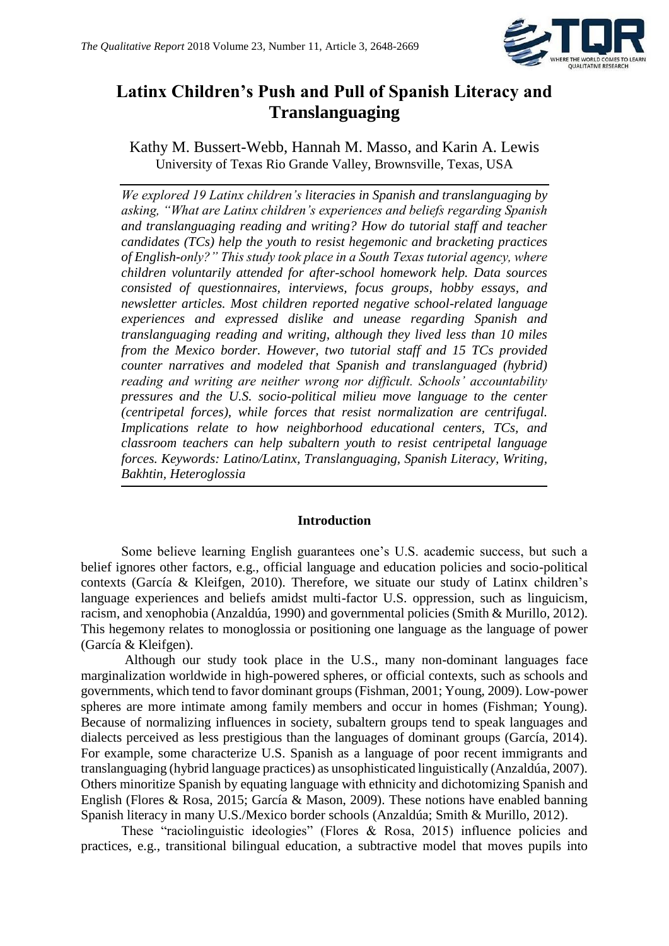

# **Latinx Children's Push and Pull of Spanish Literacy and Translanguaging**

Kathy M. Bussert-Webb, Hannah M. Masso, and Karin A. Lewis University of Texas Rio Grande Valley, Brownsville, Texas, USA

*We explored 19 Latinx children's literacies in Spanish and translanguaging by asking, "What are Latinx children's experiences and beliefs regarding Spanish and translanguaging reading and writing? How do tutorial staff and teacher candidates (TCs) help the youth to resist hegemonic and bracketing practices of English-only?" This study took place in a South Texas tutorial agency, where children voluntarily attended for after-school homework help. Data sources consisted of questionnaires, interviews, focus groups, hobby essays, and newsletter articles. Most children reported negative school-related language experiences and expressed dislike and unease regarding Spanish and translanguaging reading and writing, although they lived less than 10 miles from the Mexico border. However, two tutorial staff and 15 TCs provided counter narratives and modeled that Spanish and translanguaged (hybrid) reading and writing are neither wrong nor difficult. Schools' accountability pressures and the U.S. socio-political milieu move language to the center (centripetal forces), while forces that resist normalization are centrifugal. Implications relate to how neighborhood educational centers, TCs, and classroom teachers can help subaltern youth to resist centripetal language forces. Keywords: Latino/Latinx, Translanguaging, Spanish Literacy, Writing, Bakhtin, Heteroglossia*

### **Introduction**

Some believe learning English guarantees one's U.S. academic success, but such a belief ignores other factors, e.g., official language and education policies and socio-political contexts (García & Kleifgen, 2010). Therefore, we situate our study of Latinx children's language experiences and beliefs amidst multi-factor U.S. oppression, such as linguicism, racism, and xenophobia (Anzaldúa, 1990) and governmental policies (Smith & Murillo, 2012). This hegemony relates to monoglossia or positioning one language as the language of power (García & Kleifgen).

Although our study took place in the U.S., many non-dominant languages face marginalization worldwide in high-powered spheres, or official contexts, such as schools and governments, which tend to favor dominant groups (Fishman, 2001; Young, 2009). Low-power spheres are more intimate among family members and occur in homes (Fishman; Young). Because of normalizing influences in society, subaltern groups tend to speak languages and dialects perceived as less prestigious than the languages of dominant groups (García, 2014). For example, some characterize U.S. Spanish as a language of poor recent immigrants and translanguaging (hybrid language practices) as unsophisticated linguistically (Anzaldúa, 2007). Others minoritize Spanish by equating language with ethnicity and dichotomizing Spanish and English (Flores & Rosa, 2015; García & Mason, 2009). These notions have enabled banning Spanish literacy in many U.S./Mexico border schools (Anzaldúa; Smith & Murillo, 2012).

These "raciolinguistic ideologies" (Flores & Rosa, 2015) influence policies and practices, e.g., transitional bilingual education, a subtractive model that moves pupils into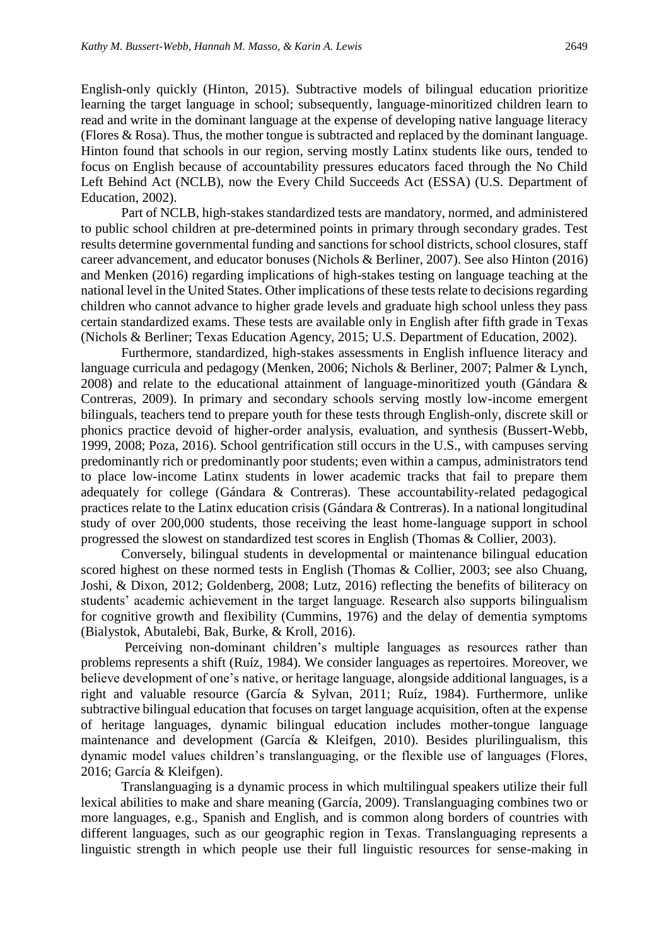English-only quickly (Hinton, 2015). Subtractive models of bilingual education prioritize learning the target language in school; subsequently, language-minoritized children learn to read and write in the dominant language at the expense of developing native language literacy (Flores & Rosa). Thus, the mother tongue is subtracted and replaced by the dominant language. Hinton found that schools in our region, serving mostly Latinx students like ours, tended to focus on English because of accountability pressures educators faced through the No Child Left Behind Act (NCLB), now the Every Child Succeeds Act (ESSA) (U.S. Department of Education, 2002).

Part of NCLB, high-stakes standardized tests are mandatory, normed, and administered to public school children at pre-determined points in primary through secondary grades. Test results determine governmental funding and sanctions for school districts, school closures, staff career advancement, and educator bonuses (Nichols & Berliner, 2007). See also Hinton (2016) and Menken (2016) regarding implications of high-stakes testing on language teaching at the national level in the United States. Other implications of these tests relate to decisions regarding children who cannot advance to higher grade levels and graduate high school unless they pass certain standardized exams. These tests are available only in English after fifth grade in Texas (Nichols & Berliner; Texas Education Agency, 2015; U.S. Department of Education, 2002).

Furthermore, standardized, high-stakes assessments in English influence literacy and language curricula and pedagogy (Menken, 2006; Nichols & Berliner, 2007; Palmer & Lynch, 2008) and relate to the educational attainment of language-minoritized youth (Gándara & Contreras, 2009). In primary and secondary schools serving mostly low-income emergent bilinguals, teachers tend to prepare youth for these tests through English-only, discrete skill or phonics practice devoid of higher-order analysis, evaluation, and synthesis (Bussert-Webb, 1999, 2008; Poza, 2016). School gentrification still occurs in the U.S., with campuses serving predominantly rich or predominantly poor students; even within a campus, administrators tend to place low-income Latinx students in lower academic tracks that fail to prepare them adequately for college (Gándara & Contreras). These accountability-related pedagogical practices relate to the Latinx education crisis (Gándara & Contreras). In a national longitudinal study of over 200,000 students, those receiving the least home-language support in school progressed the slowest on standardized test scores in English (Thomas & Collier, 2003).

Conversely, bilingual students in developmental or maintenance bilingual education scored highest on these normed tests in English (Thomas & Collier, 2003; see also Chuang, Joshi, & Dixon, 2012; Goldenberg, 2008; Lutz, 2016) reflecting the benefits of biliteracy on students' academic achievement in the target language. Research also supports bilingualism for cognitive growth and flexibility (Cummins, 1976) and the delay of dementia symptoms (Bialystok, Abutalebi, Bak, Burke, & Kroll, 2016).

Perceiving non-dominant children's multiple languages as resources rather than problems represents a shift (Ruíz, 1984). We consider languages as repertoires. Moreover, we believe development of one's native, or heritage language, alongside additional languages, is a right and valuable resource (García & Sylvan, 2011; Ruíz, 1984). Furthermore, unlike subtractive bilingual education that focuses on target language acquisition, often at the expense of heritage languages, dynamic bilingual education includes mother-tongue language maintenance and development (García & Kleifgen, 2010). Besides plurilingualism, this dynamic model values children's translanguaging, or the flexible use of languages (Flores, 2016; García & Kleifgen).

Translanguaging is a dynamic process in which multilingual speakers utilize their full lexical abilities to make and share meaning (García, 2009). Translanguaging combines two or more languages, e.g., Spanish and English, and is common along borders of countries with different languages, such as our geographic region in Texas. Translanguaging represents a linguistic strength in which people use their full linguistic resources for sense-making in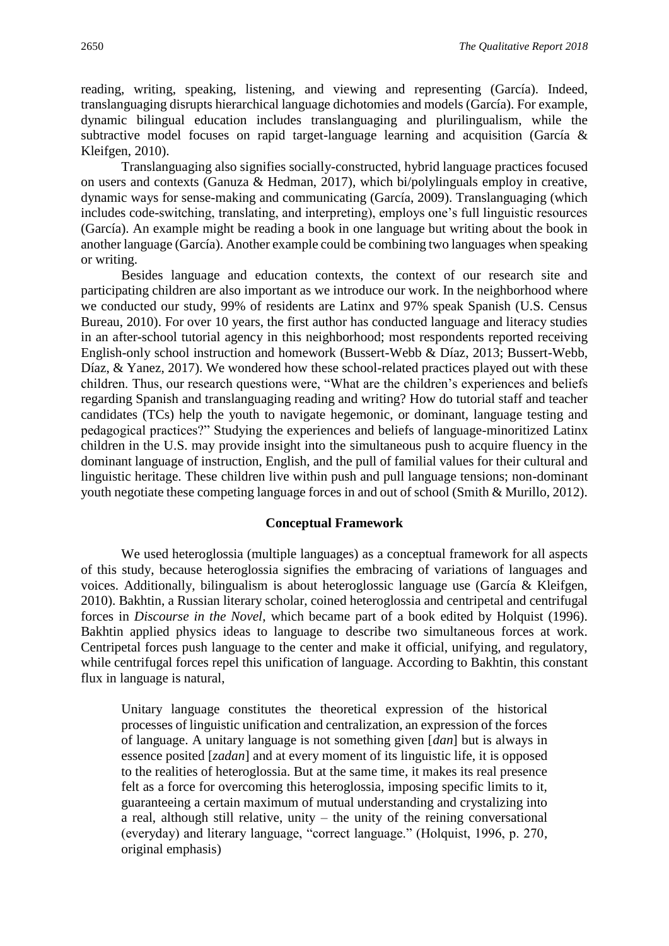reading, writing, speaking, listening, and viewing and representing (García). Indeed, translanguaging disrupts hierarchical language dichotomies and models (García). For example, dynamic bilingual education includes translanguaging and plurilingualism, while the subtractive model focuses on rapid target-language learning and acquisition (García & Kleifgen, 2010).

Translanguaging also signifies socially-constructed, hybrid language practices focused on users and contexts (Ganuza & Hedman, 2017), which bi/polylinguals employ in creative, dynamic ways for sense-making and communicating (García, 2009). Translanguaging (which includes code-switching, translating, and interpreting), employs one's full linguistic resources (García). An example might be reading a book in one language but writing about the book in another language (García). Another example could be combining two languages when speaking or writing.

Besides language and education contexts, the context of our research site and participating children are also important as we introduce our work. In the neighborhood where we conducted our study, 99% of residents are Latinx and 97% speak Spanish (U.S. Census Bureau, 2010). For over 10 years, the first author has conducted language and literacy studies in an after-school tutorial agency in this neighborhood; most respondents reported receiving English-only school instruction and homework (Bussert-Webb & Díaz, 2013; Bussert-Webb, Díaz, & Yanez, 2017). We wondered how these school-related practices played out with these children. Thus, our research questions were, "What are the children's experiences and beliefs regarding Spanish and translanguaging reading and writing? How do tutorial staff and teacher candidates (TCs) help the youth to navigate hegemonic, or dominant, language testing and pedagogical practices?" Studying the experiences and beliefs of language-minoritized Latinx children in the U.S. may provide insight into the simultaneous push to acquire fluency in the dominant language of instruction, English, and the pull of familial values for their cultural and linguistic heritage. These children live within push and pull language tensions; non-dominant youth negotiate these competing language forces in and out of school (Smith & Murillo, 2012).

#### **Conceptual Framework**

We used heteroglossia (multiple languages) as a conceptual framework for all aspects of this study, because heteroglossia signifies the embracing of variations of languages and voices. Additionally, bilingualism is about heteroglossic language use (García & Kleifgen, 2010). Bakhtin, a Russian literary scholar, coined heteroglossia and centripetal and centrifugal forces in *Discourse in the Novel*, which became part of a book edited by Holquist (1996). Bakhtin applied physics ideas to language to describe two simultaneous forces at work. Centripetal forces push language to the center and make it official, unifying, and regulatory, while centrifugal forces repel this unification of language. According to Bakhtin, this constant flux in language is natural,

Unitary language constitutes the theoretical expression of the historical processes of linguistic unification and centralization, an expression of the forces of language. A unitary language is not something given [*dan*] but is always in essence posited [*zadan*] and at every moment of its linguistic life, it is opposed to the realities of heteroglossia. But at the same time, it makes its real presence felt as a force for overcoming this heteroglossia, imposing specific limits to it, guaranteeing a certain maximum of mutual understanding and crystalizing into a real, although still relative, unity – the unity of the reining conversational (everyday) and literary language, "correct language." (Holquist, 1996, p. 270, original emphasis)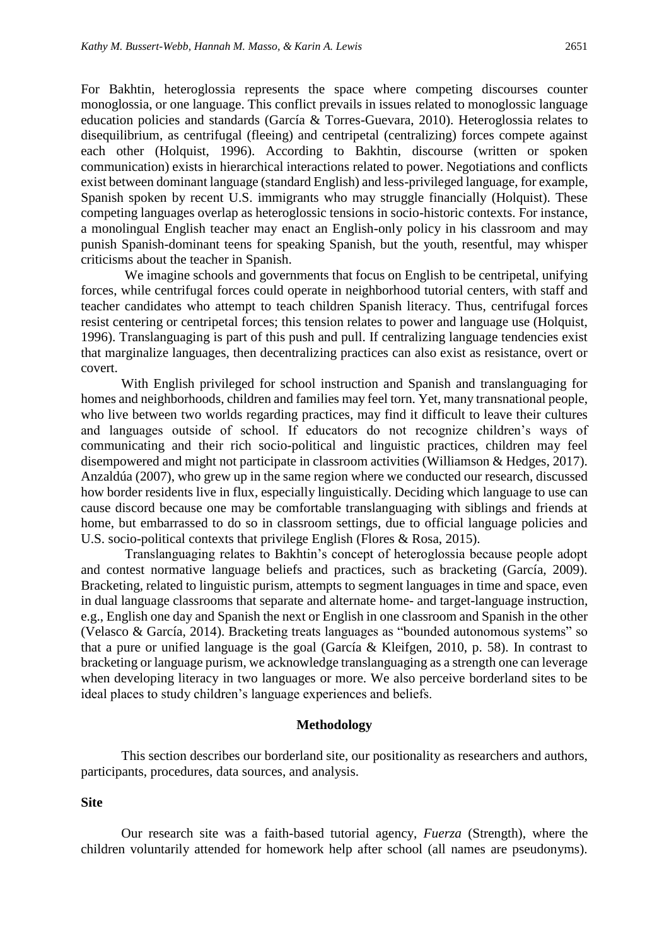For Bakhtin, heteroglossia represents the space where competing discourses counter monoglossia, or one language. This conflict prevails in issues related to monoglossic language education policies and standards (García & Torres-Guevara, 2010). Heteroglossia relates to disequilibrium, as centrifugal (fleeing) and centripetal (centralizing) forces compete against each other (Holquist, 1996). According to Bakhtin, discourse (written or spoken communication) exists in hierarchical interactions related to power. Negotiations and conflicts exist between dominant language (standard English) and less-privileged language, for example, Spanish spoken by recent U.S. immigrants who may struggle financially (Holquist). These competing languages overlap as heteroglossic tensions in socio-historic contexts. For instance, a monolingual English teacher may enact an English-only policy in his classroom and may punish Spanish-dominant teens for speaking Spanish, but the youth, resentful, may whisper criticisms about the teacher in Spanish.

We imagine schools and governments that focus on English to be centripetal, unifying forces, while centrifugal forces could operate in neighborhood tutorial centers, with staff and teacher candidates who attempt to teach children Spanish literacy. Thus, centrifugal forces resist centering or centripetal forces; this tension relates to power and language use (Holquist, 1996). Translanguaging is part of this push and pull. If centralizing language tendencies exist that marginalize languages, then decentralizing practices can also exist as resistance, overt or covert.

With English privileged for school instruction and Spanish and translanguaging for homes and neighborhoods, children and families may feel torn. Yet, many transnational people, who live between two worlds regarding practices, may find it difficult to leave their cultures and languages outside of school. If educators do not recognize children's ways of communicating and their rich socio-political and linguistic practices, children may feel disempowered and might not participate in classroom activities (Williamson & Hedges, 2017). Anzaldúa (2007), who grew up in the same region where we conducted our research, discussed how border residents live in flux, especially linguistically. Deciding which language to use can cause discord because one may be comfortable translanguaging with siblings and friends at home, but embarrassed to do so in classroom settings, due to official language policies and U.S. socio-political contexts that privilege English (Flores & Rosa, 2015).

Translanguaging relates to Bakhtin's concept of heteroglossia because people adopt and contest normative language beliefs and practices, such as bracketing (García, 2009). Bracketing, related to linguistic purism, attempts to segment languages in time and space, even in dual language classrooms that separate and alternate home- and target-language instruction, e.g., English one day and Spanish the next or English in one classroom and Spanish in the other (Velasco & García, 2014). Bracketing treats languages as "bounded autonomous systems" so that a pure or unified language is the goal (García & Kleifgen, 2010, p. 58). In contrast to bracketing or language purism, we acknowledge translanguaging as a strength one can leverage when developing literacy in two languages or more. We also perceive borderland sites to be ideal places to study children's language experiences and beliefs.

#### **Methodology**

This section describes our borderland site, our positionality as researchers and authors, participants, procedures, data sources, and analysis.

**Site**

Our research site was a faith-based tutorial agency, *Fuerza* (Strength), where the children voluntarily attended for homework help after school (all names are pseudonyms).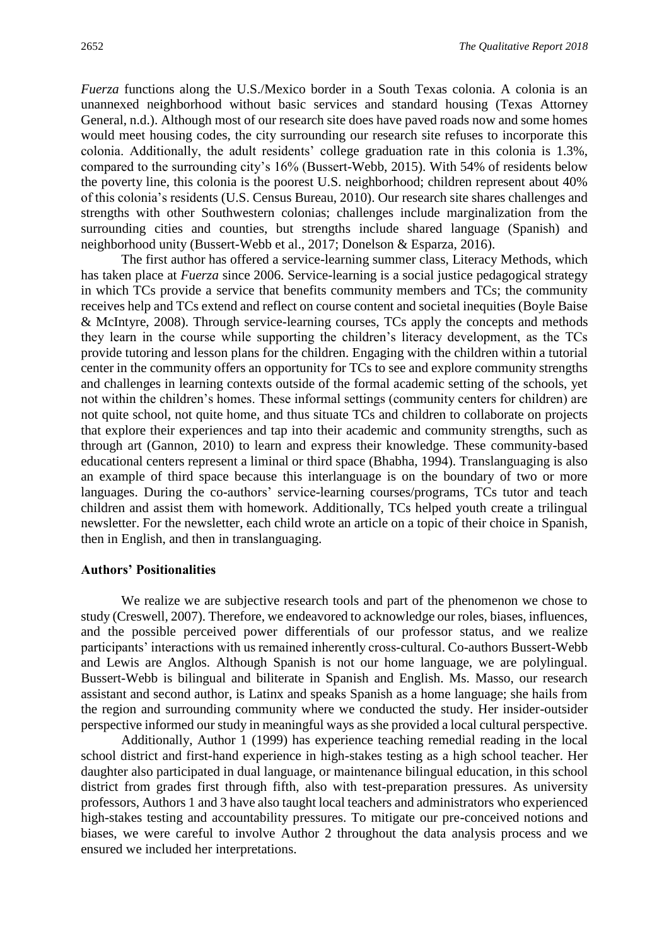*Fuerza* functions along the U.S./Mexico border in a South Texas colonia. A colonia is an unannexed neighborhood without basic services and standard housing (Texas Attorney General, n.d.). Although most of our research site does have paved roads now and some homes would meet housing codes, the city surrounding our research site refuses to incorporate this colonia. Additionally, the adult residents' college graduation rate in this colonia is 1.3%, compared to the surrounding city's 16% (Bussert-Webb, 2015). With 54% of residents below the poverty line, this colonia is the poorest U.S. neighborhood; children represent about 40% of this colonia's residents (U.S. Census Bureau, 2010). Our research site shares challenges and strengths with other Southwestern colonias; challenges include marginalization from the surrounding cities and counties, but strengths include shared language (Spanish) and neighborhood unity (Bussert-Webb et al., 2017; Donelson & Esparza, 2016).

The first author has offered a service-learning summer class, Literacy Methods, which has taken place at *Fuerza* since 2006. Service-learning is a social justice pedagogical strategy in which TCs provide a service that benefits community members and TCs; the community receives help and TCs extend and reflect on course content and societal inequities (Boyle Baise & McIntyre, 2008). Through service-learning courses, TCs apply the concepts and methods they learn in the course while supporting the children's literacy development, as the TCs provide tutoring and lesson plans for the children. Engaging with the children within a tutorial center in the community offers an opportunity for TCs to see and explore community strengths and challenges in learning contexts outside of the formal academic setting of the schools, yet not within the children's homes. These informal settings (community centers for children) are not quite school, not quite home, and thus situate TCs and children to collaborate on projects that explore their experiences and tap into their academic and community strengths, such as through art (Gannon, 2010) to learn and express their knowledge. These community-based educational centers represent a liminal or third space (Bhabha, 1994). Translanguaging is also an example of third space because this interlanguage is on the boundary of two or more languages. During the co-authors' service-learning courses/programs, TCs tutor and teach children and assist them with homework. Additionally, TCs helped youth create a trilingual newsletter. For the newsletter, each child wrote an article on a topic of their choice in Spanish, then in English, and then in translanguaging.

#### **Authors' Positionalities**

We realize we are subjective research tools and part of the phenomenon we chose to study (Creswell, 2007). Therefore, we endeavored to acknowledge our roles, biases, influences, and the possible perceived power differentials of our professor status, and we realize participants' interactions with us remained inherently cross-cultural. Co-authors Bussert-Webb and Lewis are Anglos. Although Spanish is not our home language, we are polylingual. Bussert-Webb is bilingual and biliterate in Spanish and English. Ms. Masso, our research assistant and second author, is Latinx and speaks Spanish as a home language; she hails from the region and surrounding community where we conducted the study. Her insider-outsider perspective informed our study in meaningful ways as she provided a local cultural perspective.

Additionally, Author 1 (1999) has experience teaching remedial reading in the local school district and first-hand experience in high-stakes testing as a high school teacher. Her daughter also participated in dual language, or maintenance bilingual education, in this school district from grades first through fifth, also with test-preparation pressures. As university professors, Authors 1 and 3 have also taught local teachers and administrators who experienced high-stakes testing and accountability pressures. To mitigate our pre-conceived notions and biases, we were careful to involve Author 2 throughout the data analysis process and we ensured we included her interpretations.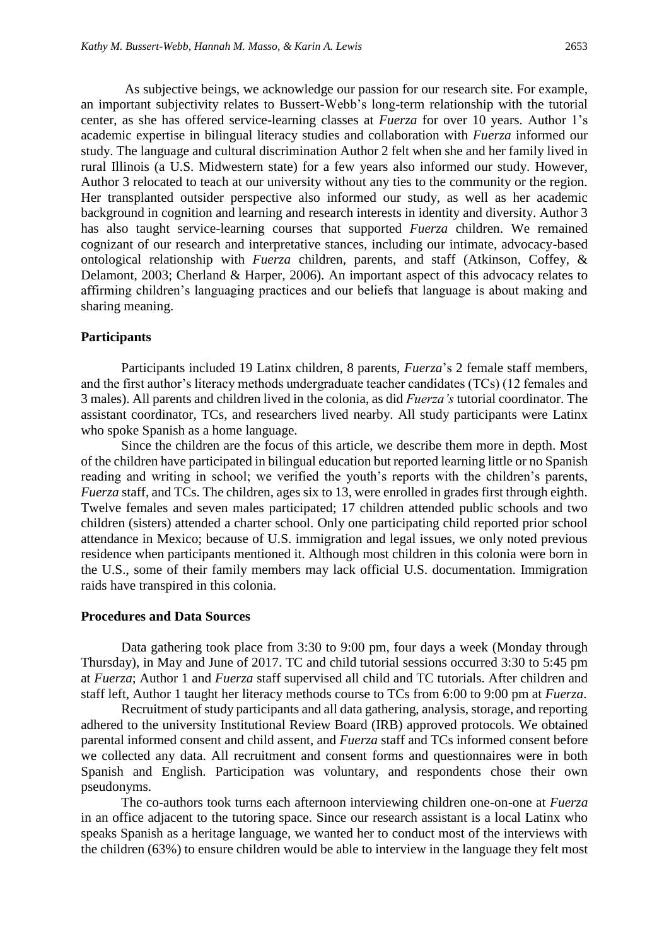As subjective beings, we acknowledge our passion for our research site. For example, an important subjectivity relates to Bussert-Webb's long-term relationship with the tutorial center, as she has offered service-learning classes at *Fuerza* for over 10 years. Author 1's academic expertise in bilingual literacy studies and collaboration with *Fuerza* informed our study. The language and cultural discrimination Author 2 felt when she and her family lived in rural Illinois (a U.S. Midwestern state) for a few years also informed our study. However, Author 3 relocated to teach at our university without any ties to the community or the region. Her transplanted outsider perspective also informed our study, as well as her academic background in cognition and learning and research interests in identity and diversity. Author 3 has also taught service-learning courses that supported *Fuerza* children. We remained cognizant of our research and interpretative stances, including our intimate, advocacy-based ontological relationship with *Fuerza* children, parents, and staff (Atkinson, Coffey, & Delamont, 2003; Cherland & Harper, 2006). An important aspect of this advocacy relates to affirming children's languaging practices and our beliefs that language is about making and sharing meaning.

#### **Participants**

Participants included 19 Latinx children, 8 parents, *Fuerza*'s 2 female staff members, and the first author's literacy methods undergraduate teacher candidates (TCs) (12 females and 3 males). All parents and children lived in the colonia, as did *Fuerza's* tutorial coordinator. The assistant coordinator, TCs, and researchers lived nearby. All study participants were Latinx who spoke Spanish as a home language.

Since the children are the focus of this article, we describe them more in depth. Most of the children have participated in bilingual education but reported learning little or no Spanish reading and writing in school; we verified the youth's reports with the children's parents, *Fuerza* staff, and TCs. The children, ages six to 13, were enrolled in grades first through eighth. Twelve females and seven males participated; 17 children attended public schools and two children (sisters) attended a charter school. Only one participating child reported prior school attendance in Mexico; because of U.S. immigration and legal issues, we only noted previous residence when participants mentioned it. Although most children in this colonia were born in the U.S., some of their family members may lack official U.S. documentation. Immigration raids have transpired in this colonia.

#### **Procedures and Data Sources**

Data gathering took place from 3:30 to 9:00 pm, four days a week (Monday through Thursday), in May and June of 2017. TC and child tutorial sessions occurred 3:30 to 5:45 pm at *Fuerza*; Author 1 and *Fuerza* staff supervised all child and TC tutorials. After children and staff left, Author 1 taught her literacy methods course to TCs from 6:00 to 9:00 pm at *Fuerza*.

Recruitment of study participants and all data gathering, analysis, storage, and reporting adhered to the university Institutional Review Board (IRB) approved protocols. We obtained parental informed consent and child assent, and *Fuerza* staff and TCs informed consent before we collected any data. All recruitment and consent forms and questionnaires were in both Spanish and English. Participation was voluntary, and respondents chose their own pseudonyms.

The co-authors took turns each afternoon interviewing children one-on-one at *Fuerza* in an office adjacent to the tutoring space. Since our research assistant is a local Latinx who speaks Spanish as a heritage language, we wanted her to conduct most of the interviews with the children (63%) to ensure children would be able to interview in the language they felt most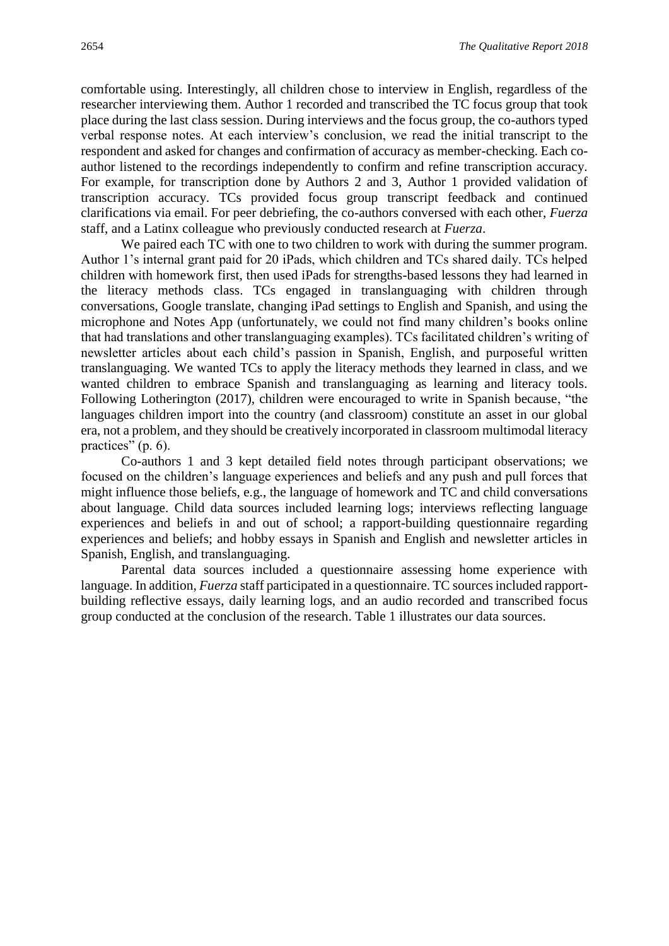comfortable using. Interestingly, all children chose to interview in English, regardless of the researcher interviewing them. Author 1 recorded and transcribed the TC focus group that took place during the last class session. During interviews and the focus group, the co-authors typed verbal response notes. At each interview's conclusion, we read the initial transcript to the respondent and asked for changes and confirmation of accuracy as member-checking. Each coauthor listened to the recordings independently to confirm and refine transcription accuracy. For example, for transcription done by Authors 2 and 3, Author 1 provided validation of transcription accuracy. TCs provided focus group transcript feedback and continued clarifications via email. For peer debriefing, the co-authors conversed with each other, *Fuerza* staff, and a Latinx colleague who previously conducted research at *Fuerza*.

We paired each TC with one to two children to work with during the summer program. Author 1's internal grant paid for 20 iPads, which children and TCs shared daily. TCs helped children with homework first, then used iPads for strengths-based lessons they had learned in the literacy methods class. TCs engaged in translanguaging with children through conversations, Google translate, changing iPad settings to English and Spanish, and using the microphone and Notes App (unfortunately, we could not find many children's books online that had translations and other translanguaging examples). TCs facilitated children's writing of newsletter articles about each child's passion in Spanish, English, and purposeful written translanguaging. We wanted TCs to apply the literacy methods they learned in class, and we wanted children to embrace Spanish and translanguaging as learning and literacy tools. Following Lotherington (2017), children were encouraged to write in Spanish because, "the languages children import into the country (and classroom) constitute an asset in our global era, not a problem, and they should be creatively incorporated in classroom multimodal literacy practices" (p. 6).

Co-authors 1 and 3 kept detailed field notes through participant observations; we focused on the children's language experiences and beliefs and any push and pull forces that might influence those beliefs, e.g., the language of homework and TC and child conversations about language. Child data sources included learning logs; interviews reflecting language experiences and beliefs in and out of school; a rapport-building questionnaire regarding experiences and beliefs; and hobby essays in Spanish and English and newsletter articles in Spanish, English, and translanguaging.

Parental data sources included a questionnaire assessing home experience with language. In addition, *Fuerza* staff participated in a questionnaire. TC sources included rapportbuilding reflective essays, daily learning logs, and an audio recorded and transcribed focus group conducted at the conclusion of the research. Table 1 illustrates our data sources.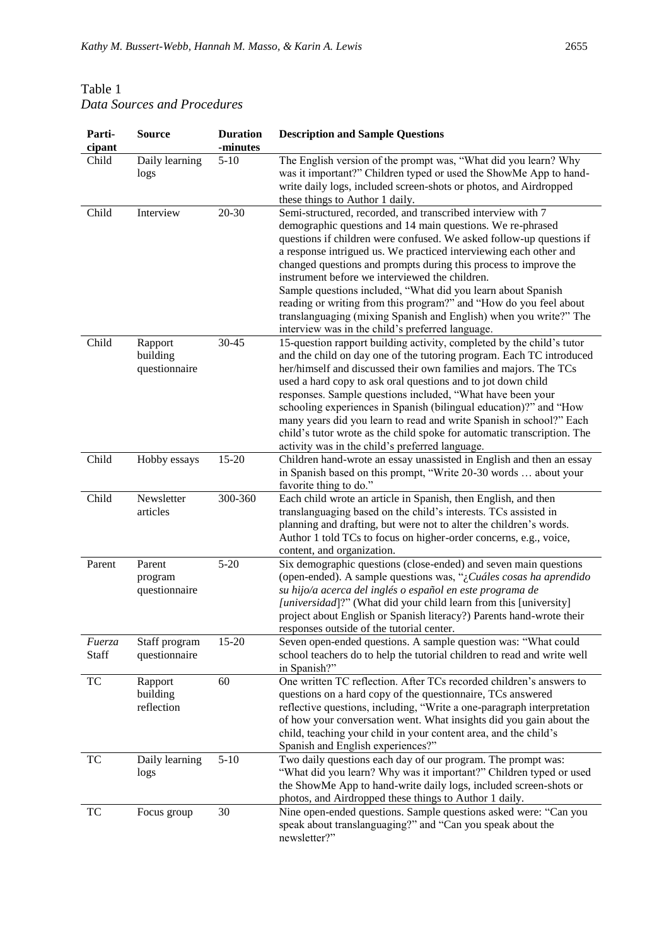## Table 1 *Data Sources and Procedures*

| Parti-<br>cipant | <b>Source</b>                        | <b>Duration</b><br>-minutes | <b>Description and Sample Questions</b>                                                                                                                                                                                                                                                                                                                                                                                                                                                                                                                                                                                                                    |
|------------------|--------------------------------------|-----------------------------|------------------------------------------------------------------------------------------------------------------------------------------------------------------------------------------------------------------------------------------------------------------------------------------------------------------------------------------------------------------------------------------------------------------------------------------------------------------------------------------------------------------------------------------------------------------------------------------------------------------------------------------------------------|
| Child            | Daily learning<br>logs               | $5-10$                      | The English version of the prompt was, "What did you learn? Why<br>was it important?" Children typed or used the ShowMe App to hand-<br>write daily logs, included screen-shots or photos, and Airdropped<br>these things to Author 1 daily.                                                                                                                                                                                                                                                                                                                                                                                                               |
| Child            | Interview                            | $20 - 30$                   | Semi-structured, recorded, and transcribed interview with 7<br>demographic questions and 14 main questions. We re-phrased<br>questions if children were confused. We asked follow-up questions if<br>a response intrigued us. We practiced interviewing each other and<br>changed questions and prompts during this process to improve the<br>instrument before we interviewed the children.<br>Sample questions included, "What did you learn about Spanish<br>reading or writing from this program?" and "How do you feel about<br>translanguaging (mixing Spanish and English) when you write?" The<br>interview was in the child's preferred language. |
| Child            | Rapport<br>building<br>questionnaire | 30-45                       | 15-question rapport building activity, completed by the child's tutor<br>and the child on day one of the tutoring program. Each TC introduced<br>her/himself and discussed their own families and majors. The TCs<br>used a hard copy to ask oral questions and to jot down child<br>responses. Sample questions included, "What have been your<br>schooling experiences in Spanish (bilingual education)?" and "How<br>many years did you learn to read and write Spanish in school?" Each<br>child's tutor wrote as the child spoke for automatic transcription. The<br>activity was in the child's preferred language.                                  |
| Child            | Hobby essays                         | 15-20                       | Children hand-wrote an essay unassisted in English and then an essay<br>in Spanish based on this prompt, "Write 20-30 words  about your<br>favorite thing to do."                                                                                                                                                                                                                                                                                                                                                                                                                                                                                          |
| Child            | Newsletter<br>articles               | 300-360                     | Each child wrote an article in Spanish, then English, and then<br>translanguaging based on the child's interests. TCs assisted in<br>planning and drafting, but were not to alter the children's words.<br>Author 1 told TCs to focus on higher-order concerns, e.g., voice,<br>content, and organization.                                                                                                                                                                                                                                                                                                                                                 |
| Parent           | Parent<br>program<br>questionnaire   | $5 - 20$                    | Six demographic questions (close-ended) and seven main questions<br>(open-ended). A sample questions was, "¿Cuáles cosas ha aprendido<br>su hijo/a acerca del inglés o español en este programa de<br>[ <i>universidad</i> ]?" (What did your child learn from this [university]<br>project about English or Spanish literacy?) Parents hand-wrote their<br>responses outside of the tutorial center.                                                                                                                                                                                                                                                      |
| Fuerza<br>Staff  | Staff program<br>questionnaire       | 15-20                       | Seven open-ended questions. A sample question was: "What could<br>school teachers do to help the tutorial children to read and write well<br>in Spanish?"                                                                                                                                                                                                                                                                                                                                                                                                                                                                                                  |
| TC               | Rapport<br>building<br>reflection    | 60                          | One written TC reflection. After TCs recorded children's answers to<br>questions on a hard copy of the questionnaire, TCs answered<br>reflective questions, including, "Write a one-paragraph interpretation<br>of how your conversation went. What insights did you gain about the<br>child, teaching your child in your content area, and the child's<br>Spanish and English experiences?"                                                                                                                                                                                                                                                               |
| TC               | Daily learning<br>logs               | $5 - 10$                    | Two daily questions each day of our program. The prompt was:<br>"What did you learn? Why was it important?" Children typed or used<br>the ShowMe App to hand-write daily logs, included screen-shots or<br>photos, and Airdropped these things to Author 1 daily.                                                                                                                                                                                                                                                                                                                                                                                          |
| TC               | Focus group                          | 30                          | Nine open-ended questions. Sample questions asked were: "Can you<br>speak about translanguaging?" and "Can you speak about the<br>newsletter?"                                                                                                                                                                                                                                                                                                                                                                                                                                                                                                             |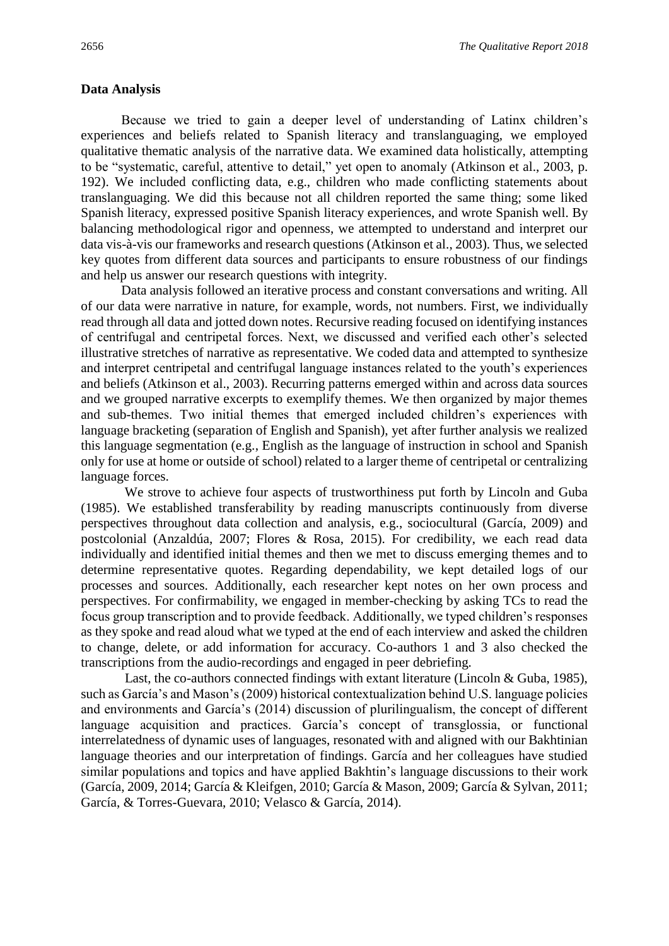#### **Data Analysis**

Because we tried to gain a deeper level of understanding of Latinx children's experiences and beliefs related to Spanish literacy and translanguaging, we employed qualitative thematic analysis of the narrative data. We examined data holistically, attempting to be "systematic, careful, attentive to detail," yet open to anomaly (Atkinson et al., 2003, p. 192). We included conflicting data, e.g., children who made conflicting statements about translanguaging. We did this because not all children reported the same thing; some liked Spanish literacy, expressed positive Spanish literacy experiences, and wrote Spanish well. By balancing methodological rigor and openness, we attempted to understand and interpret our data vis-à-vis our frameworks and research questions (Atkinson et al., 2003). Thus, we selected key quotes from different data sources and participants to ensure robustness of our findings and help us answer our research questions with integrity.

Data analysis followed an iterative process and constant conversations and writing. All of our data were narrative in nature, for example, words, not numbers. First, we individually read through all data and jotted down notes. Recursive reading focused on identifying instances of centrifugal and centripetal forces. Next, we discussed and verified each other's selected illustrative stretches of narrative as representative. We coded data and attempted to synthesize and interpret centripetal and centrifugal language instances related to the youth's experiences and beliefs (Atkinson et al., 2003). Recurring patterns emerged within and across data sources and we grouped narrative excerpts to exemplify themes. We then organized by major themes and sub-themes. Two initial themes that emerged included children's experiences with language bracketing (separation of English and Spanish), yet after further analysis we realized this language segmentation (e.g., English as the language of instruction in school and Spanish only for use at home or outside of school) related to a larger theme of centripetal or centralizing language forces.

We strove to achieve four aspects of trustworthiness put forth by Lincoln and Guba (1985). We established transferability by reading manuscripts continuously from diverse perspectives throughout data collection and analysis, e.g., sociocultural (García, 2009) and postcolonial (Anzaldúa, 2007; Flores & Rosa, 2015). For credibility, we each read data individually and identified initial themes and then we met to discuss emerging themes and to determine representative quotes. Regarding dependability, we kept detailed logs of our processes and sources. Additionally, each researcher kept notes on her own process and perspectives. For confirmability, we engaged in member-checking by asking TCs to read the focus group transcription and to provide feedback. Additionally, we typed children's responses as they spoke and read aloud what we typed at the end of each interview and asked the children to change, delete, or add information for accuracy. Co-authors 1 and 3 also checked the transcriptions from the audio-recordings and engaged in peer debriefing*.* 

Last, the co-authors connected findings with extant literature (Lincoln & Guba, 1985), such as García's and Mason's (2009) historical contextualization behind U.S. language policies and environments and García's (2014) discussion of plurilingualism, the concept of different language acquisition and practices. García's concept of transglossia, or functional interrelatedness of dynamic uses of languages, resonated with and aligned with our Bakhtinian language theories and our interpretation of findings. García and her colleagues have studied similar populations and topics and have applied Bakhtin's language discussions to their work (García, 2009, 2014; García & Kleifgen, 2010; García & Mason, 2009; García & Sylvan, 2011; García, & Torres-Guevara, 2010; Velasco & García, 2014).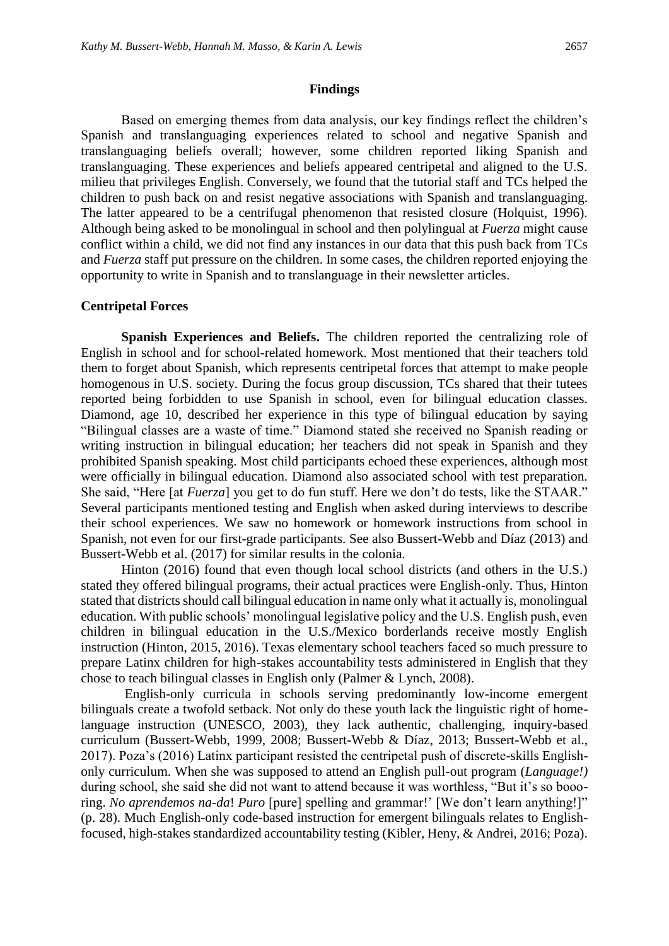#### **Findings**

Based on emerging themes from data analysis, our key findings reflect the children's Spanish and translanguaging experiences related to school and negative Spanish and translanguaging beliefs overall; however, some children reported liking Spanish and translanguaging. These experiences and beliefs appeared centripetal and aligned to the U.S. milieu that privileges English. Conversely, we found that the tutorial staff and TCs helped the children to push back on and resist negative associations with Spanish and translanguaging. The latter appeared to be a centrifugal phenomenon that resisted closure (Holquist, 1996). Although being asked to be monolingual in school and then polylingual at *Fuerza* might cause conflict within a child, we did not find any instances in our data that this push back from TCs and *Fuerza* staff put pressure on the children. In some cases, the children reported enjoying the opportunity to write in Spanish and to translanguage in their newsletter articles.

#### **Centripetal Forces**

**Spanish Experiences and Beliefs.** The children reported the centralizing role of English in school and for school-related homework. Most mentioned that their teachers told them to forget about Spanish, which represents centripetal forces that attempt to make people homogenous in U.S. society. During the focus group discussion, TCs shared that their tutees reported being forbidden to use Spanish in school, even for bilingual education classes. Diamond, age 10, described her experience in this type of bilingual education by saying "Bilingual classes are a waste of time." Diamond stated she received no Spanish reading or writing instruction in bilingual education; her teachers did not speak in Spanish and they prohibited Spanish speaking. Most child participants echoed these experiences, although most were officially in bilingual education. Diamond also associated school with test preparation. She said, "Here [at *Fuerza*] you get to do fun stuff. Here we don't do tests, like the STAAR." Several participants mentioned testing and English when asked during interviews to describe their school experiences. We saw no homework or homework instructions from school in Spanish, not even for our first-grade participants. See also Bussert-Webb and Díaz (2013) and Bussert-Webb et al. (2017) for similar results in the colonia.

Hinton (2016) found that even though local school districts (and others in the U.S.) stated they offered bilingual programs, their actual practices were English-only. Thus, Hinton stated that districts should call bilingual education in name only what it actually is, monolingual education. With public schools' monolingual legislative policy and the U.S. English push, even children in bilingual education in the U.S./Mexico borderlands receive mostly English instruction (Hinton, 2015, 2016). Texas elementary school teachers faced so much pressure to prepare Latinx children for high-stakes accountability tests administered in English that they chose to teach bilingual classes in English only (Palmer & Lynch, 2008).

English-only curricula in schools serving predominantly low-income emergent bilinguals create a twofold setback. Not only do these youth lack the linguistic right of homelanguage instruction (UNESCO, 2003), they lack authentic, challenging, inquiry-based curriculum (Bussert-Webb, 1999, 2008; Bussert-Webb & Díaz, 2013; Bussert-Webb et al., 2017). Poza's (2016) Latinx participant resisted the centripetal push of discrete-skills Englishonly curriculum. When she was supposed to attend an English pull-out program (*Language!)*  during school, she said she did not want to attend because it was worthless, "But it's so boooring. *No aprendemos na-da*! *Puro* [pure] spelling and grammar!' [We don't learn anything!]" (p. 28). Much English-only code-based instruction for emergent bilinguals relates to Englishfocused, high-stakes standardized accountability testing (Kibler, Heny, & Andrei, 2016; Poza).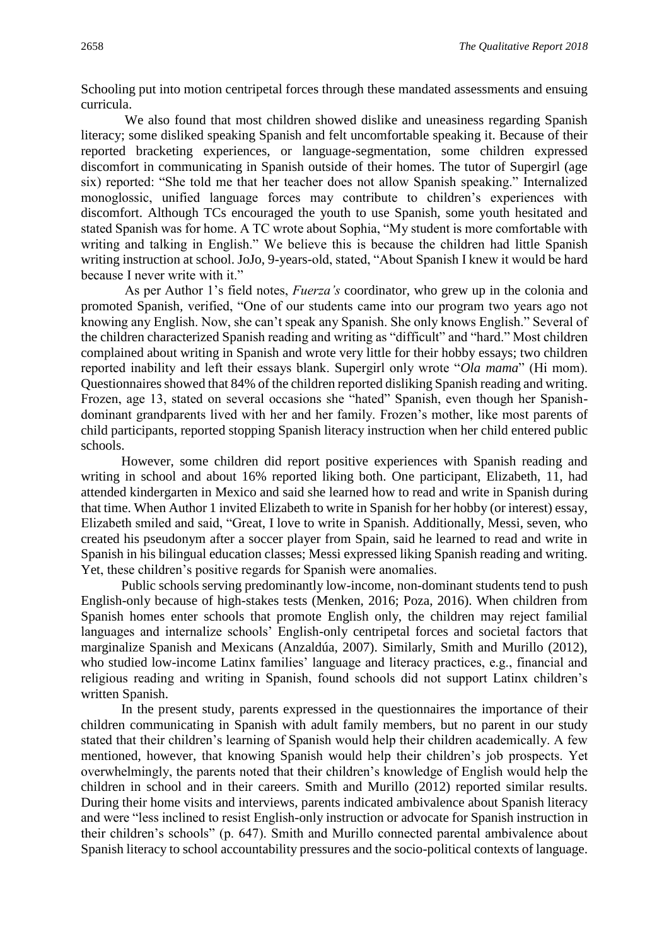Schooling put into motion centripetal forces through these mandated assessments and ensuing curricula.

We also found that most children showed dislike and uneasiness regarding Spanish literacy; some disliked speaking Spanish and felt uncomfortable speaking it. Because of their reported bracketing experiences, or language-segmentation, some children expressed discomfort in communicating in Spanish outside of their homes. The tutor of Supergirl (age six) reported: "She told me that her teacher does not allow Spanish speaking." Internalized monoglossic, unified language forces may contribute to children's experiences with discomfort. Although TCs encouraged the youth to use Spanish, some youth hesitated and stated Spanish was for home. A TC wrote about Sophia, "My student is more comfortable with writing and talking in English." We believe this is because the children had little Spanish writing instruction at school. JoJo, 9-years-old, stated, "About Spanish I knew it would be hard because I never write with it."

As per Author 1's field notes, *Fuerza's* coordinator, who grew up in the colonia and promoted Spanish*,* verified, "One of our students came into our program two years ago not knowing any English. Now, she can't speak any Spanish. She only knows English." Several of the children characterized Spanish reading and writing as "difficult" and "hard." Most children complained about writing in Spanish and wrote very little for their hobby essays; two children reported inability and left their essays blank. Supergirl only wrote "*Ola mama*" (Hi mom). Questionnaires showed that 84% of the children reported disliking Spanish reading and writing. Frozen, age 13, stated on several occasions she "hated" Spanish, even though her Spanishdominant grandparents lived with her and her family. Frozen's mother, like most parents of child participants, reported stopping Spanish literacy instruction when her child entered public schools.

However, some children did report positive experiences with Spanish reading and writing in school and about 16% reported liking both. One participant, Elizabeth, 11, had attended kindergarten in Mexico and said she learned how to read and write in Spanish during that time. When Author 1 invited Elizabeth to write in Spanish for her hobby (or interest) essay, Elizabeth smiled and said, "Great, I love to write in Spanish. Additionally, Messi, seven, who created his pseudonym after a soccer player from Spain, said he learned to read and write in Spanish in his bilingual education classes; Messi expressed liking Spanish reading and writing. Yet, these children's positive regards for Spanish were anomalies.

Public schools serving predominantly low-income, non-dominant students tend to push English-only because of high-stakes tests (Menken, 2016; Poza, 2016). When children from Spanish homes enter schools that promote English only, the children may reject familial languages and internalize schools' English-only centripetal forces and societal factors that marginalize Spanish and Mexicans (Anzaldúa, 2007). Similarly, Smith and Murillo (2012), who studied low-income Latinx families' language and literacy practices, e.g., financial and religious reading and writing in Spanish, found schools did not support Latinx children's written Spanish.

In the present study, parents expressed in the questionnaires the importance of their children communicating in Spanish with adult family members, but no parent in our study stated that their children's learning of Spanish would help their children academically. A few mentioned, however, that knowing Spanish would help their children's job prospects. Yet overwhelmingly, the parents noted that their children's knowledge of English would help the children in school and in their careers. Smith and Murillo (2012) reported similar results. During their home visits and interviews, parents indicated ambivalence about Spanish literacy and were "less inclined to resist English-only instruction or advocate for Spanish instruction in their children's schools" (p. 647). Smith and Murillo connected parental ambivalence about Spanish literacy to school accountability pressures and the socio-political contexts of language.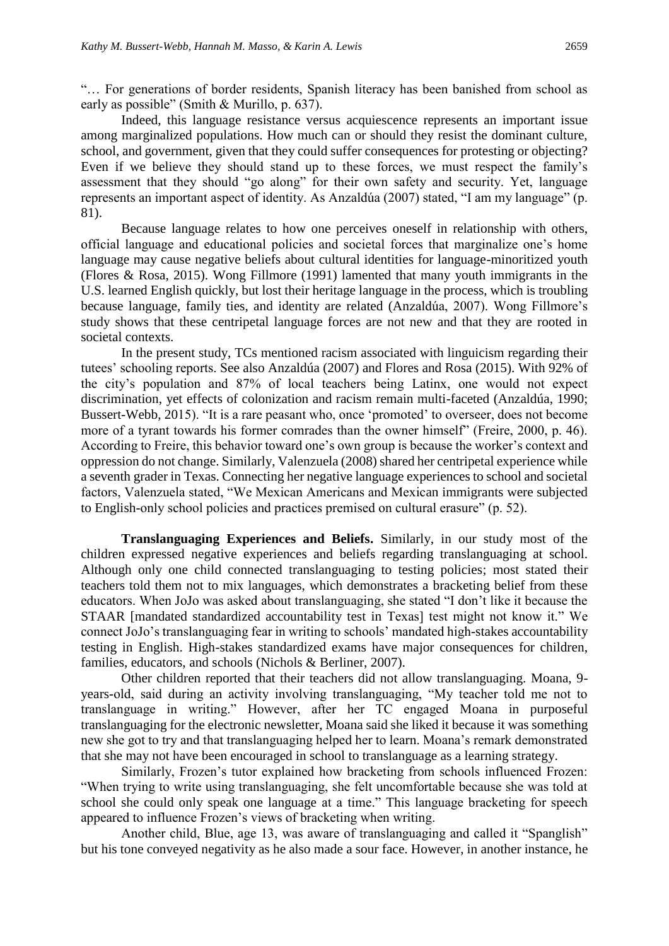"… For generations of border residents, Spanish literacy has been banished from school as early as possible" (Smith & Murillo, p. 637).

Indeed, this language resistance versus acquiescence represents an important issue among marginalized populations. How much can or should they resist the dominant culture, school, and government, given that they could suffer consequences for protesting or objecting? Even if we believe they should stand up to these forces, we must respect the family's assessment that they should "go along" for their own safety and security. Yet, language represents an important aspect of identity. As Anzaldúa (2007) stated, "I am my language" (p. 81).

Because language relates to how one perceives oneself in relationship with others, official language and educational policies and societal forces that marginalize one's home language may cause negative beliefs about cultural identities for language-minoritized youth (Flores & Rosa, 2015). Wong Fillmore (1991) lamented that many youth immigrants in the U.S. learned English quickly, but lost their heritage language in the process, which is troubling because language, family ties, and identity are related (Anzaldúa, 2007). Wong Fillmore's study shows that these centripetal language forces are not new and that they are rooted in societal contexts.

In the present study, TCs mentioned racism associated with linguicism regarding their tutees' schooling reports. See also Anzaldúa (2007) and Flores and Rosa (2015). With 92% of the city's population and 87% of local teachers being Latinx, one would not expect discrimination, yet effects of colonization and racism remain multi-faceted (Anzaldúa, 1990; Bussert-Webb, 2015). "It is a rare peasant who, once 'promoted' to overseer, does not become more of a tyrant towards his former comrades than the owner himself" (Freire, 2000, p. 46). According to Freire, this behavior toward one's own group is because the worker's context and oppression do not change. Similarly, Valenzuela (2008) shared her centripetal experience while a seventh grader in Texas. Connecting her negative language experiences to school and societal factors, Valenzuela stated, "We Mexican Americans and Mexican immigrants were subjected to English-only school policies and practices premised on cultural erasure" (p. 52).

**Translanguaging Experiences and Beliefs.** Similarly, in our study most of the children expressed negative experiences and beliefs regarding translanguaging at school. Although only one child connected translanguaging to testing policies; most stated their teachers told them not to mix languages, which demonstrates a bracketing belief from these educators. When JoJo was asked about translanguaging, she stated "I don't like it because the STAAR [mandated standardized accountability test in Texas] test might not know it." We connect JoJo's translanguaging fear in writing to schools' mandated high-stakes accountability testing in English. High-stakes standardized exams have major consequences for children, families, educators, and schools (Nichols & Berliner, 2007).

Other children reported that their teachers did not allow translanguaging. Moana, 9 years-old, said during an activity involving translanguaging, "My teacher told me not to translanguage in writing." However, after her TC engaged Moana in purposeful translanguaging for the electronic newsletter, Moana said she liked it because it was something new she got to try and that translanguaging helped her to learn. Moana's remark demonstrated that she may not have been encouraged in school to translanguage as a learning strategy.

Similarly, Frozen's tutor explained how bracketing from schools influenced Frozen: "When trying to write using translanguaging, she felt uncomfortable because she was told at school she could only speak one language at a time." This language bracketing for speech appeared to influence Frozen's views of bracketing when writing.

Another child, Blue, age 13, was aware of translanguaging and called it "Spanglish" but his tone conveyed negativity as he also made a sour face. However, in another instance, he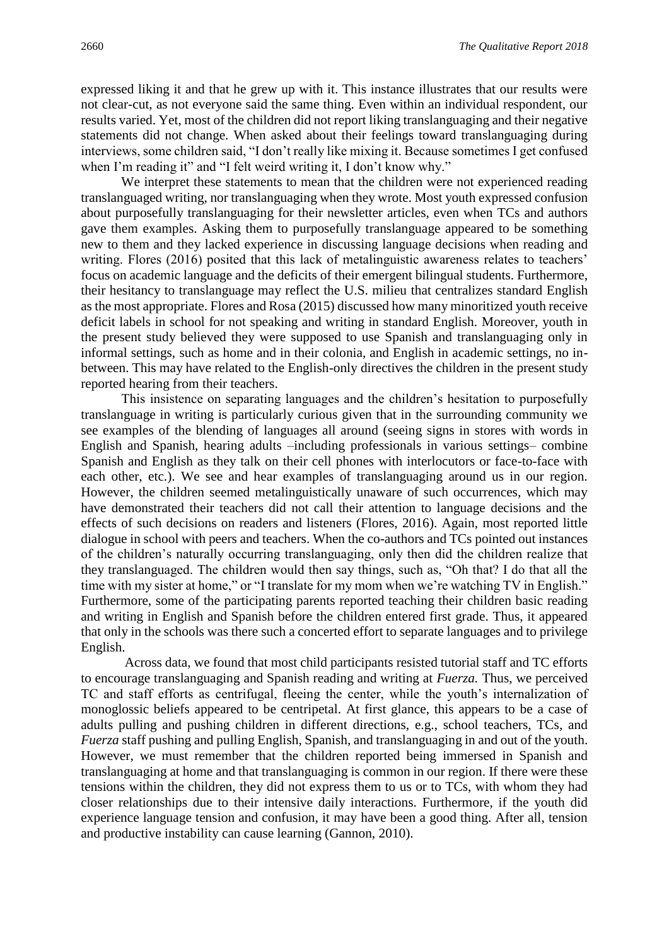expressed liking it and that he grew up with it. This instance illustrates that our results were not clear-cut, as not everyone said the same thing. Even within an individual respondent, our results varied. Yet, most of the children did not report liking translanguaging and their negative statements did not change. When asked about their feelings toward translanguaging during interviews, some children said, "I don't really like mixing it. Because sometimes I get confused when I'm reading it" and "I felt weird writing it, I don't know why."

We interpret these statements to mean that the children were not experienced reading translanguaged writing, nor translanguaging when they wrote. Most youth expressed confusion about purposefully translanguaging for their newsletter articles, even when TCs and authors gave them examples. Asking them to purposefully translanguage appeared to be something new to them and they lacked experience in discussing language decisions when reading and writing. Flores (2016) posited that this lack of metalinguistic awareness relates to teachers' focus on academic language and the deficits of their emergent bilingual students. Furthermore, their hesitancy to translanguage may reflect the U.S. milieu that centralizes standard English as the most appropriate. Flores and Rosa (2015) discussed how many minoritized youth receive deficit labels in school for not speaking and writing in standard English. Moreover, youth in the present study believed they were supposed to use Spanish and translanguaging only in informal settings, such as home and in their colonia, and English in academic settings, no inbetween. This may have related to the English-only directives the children in the present study reported hearing from their teachers.

This insistence on separating languages and the children's hesitation to purposefully translanguage in writing is particularly curious given that in the surrounding community we see examples of the blending of languages all around (seeing signs in stores with words in English and Spanish, hearing adults –including professionals in various settings– combine Spanish and English as they talk on their cell phones with interlocutors or face-to-face with each other, etc.). We see and hear examples of translanguaging around us in our region. However, the children seemed metalinguistically unaware of such occurrences, which may have demonstrated their teachers did not call their attention to language decisions and the effects of such decisions on readers and listeners (Flores, 2016). Again, most reported little dialogue in school with peers and teachers. When the co-authors and TCs pointed out instances of the children's naturally occurring translanguaging, only then did the children realize that they translanguaged. The children would then say things, such as, "Oh that? I do that all the time with my sister at home," or "I translate for my mom when we're watching TV in English." Furthermore, some of the participating parents reported teaching their children basic reading and writing in English and Spanish before the children entered first grade. Thus, it appeared that only in the schools was there such a concerted effort to separate languages and to privilege English.

Across data, we found that most child participants resisted tutorial staff and TC efforts to encourage translanguaging and Spanish reading and writing at *Fuerza.* Thus, we perceived TC and staff efforts as centrifugal, fleeing the center, while the youth's internalization of monoglossic beliefs appeared to be centripetal. At first glance, this appears to be a case of adults pulling and pushing children in different directions, e.g., school teachers, TCs, and *Fuerza* staff pushing and pulling English, Spanish, and translanguaging in and out of the youth. However, we must remember that the children reported being immersed in Spanish and translanguaging at home and that translanguaging is common in our region. If there were these tensions within the children, they did not express them to us or to TCs, with whom they had closer relationships due to their intensive daily interactions. Furthermore, if the youth did experience language tension and confusion, it may have been a good thing. After all, tension and productive instability can cause learning (Gannon, 2010).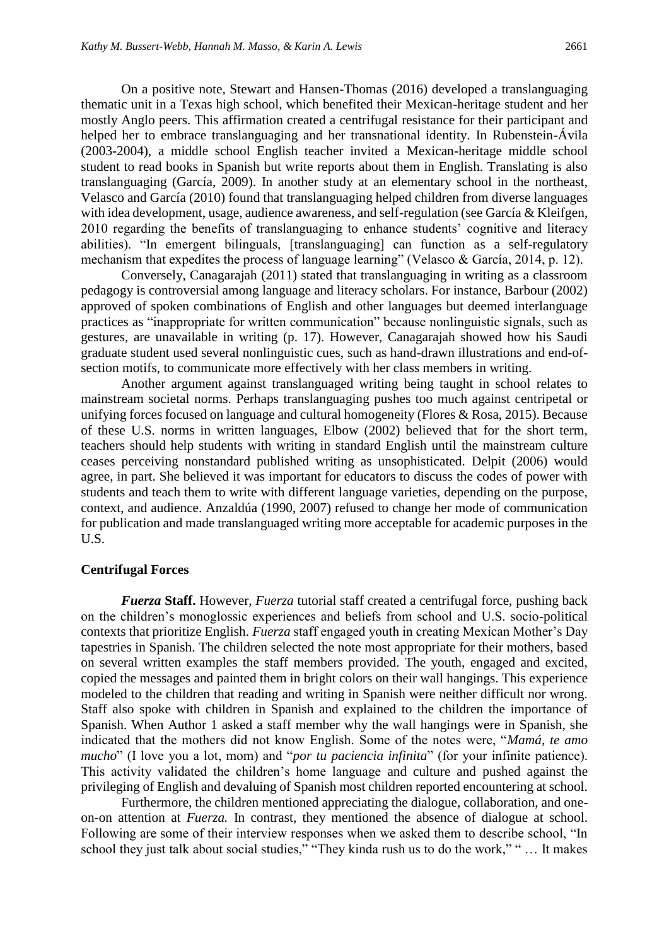On a positive note, Stewart and Hansen-Thomas (2016) developed a translanguaging thematic unit in a Texas high school, which benefited their Mexican-heritage student and her mostly Anglo peers. This affirmation created a centrifugal resistance for their participant and helped her to embrace translanguaging and her transnational identity. In Rubenstein-Ávila (2003-2004), a middle school English teacher invited a Mexican-heritage middle school student to read books in Spanish but write reports about them in English. Translating is also translanguaging (García, 2009). In another study at an elementary school in the northeast, Velasco and García (2010) found that translanguaging helped children from diverse languages with idea development, usage, audience awareness, and self-regulation (see García & Kleifgen, 2010 regarding the benefits of translanguaging to enhance students' cognitive and literacy abilities). "In emergent bilinguals, [translanguaging] can function as a self-regulatory mechanism that expedites the process of language learning" (Velasco & García, 2014, p. 12).

Conversely, Canagarajah (2011) stated that translanguaging in writing as a classroom pedagogy is controversial among language and literacy scholars. For instance, Barbour (2002) approved of spoken combinations of English and other languages but deemed interlanguage practices as "inappropriate for written communication" because nonlinguistic signals, such as gestures, are unavailable in writing (p. 17). However, Canagarajah showed how his Saudi graduate student used several nonlinguistic cues, such as hand-drawn illustrations and end-ofsection motifs, to communicate more effectively with her class members in writing.

Another argument against translanguaged writing being taught in school relates to mainstream societal norms. Perhaps translanguaging pushes too much against centripetal or unifying forces focused on language and cultural homogeneity (Flores & Rosa, 2015). Because of these U.S. norms in written languages, Elbow (2002) believed that for the short term, teachers should help students with writing in standard English until the mainstream culture ceases perceiving nonstandard published writing as unsophisticated. Delpit (2006) would agree, in part. She believed it was important for educators to discuss the codes of power with students and teach them to write with different language varieties, depending on the purpose, context, and audience. Anzaldúa (1990, 2007) refused to change her mode of communication for publication and made translanguaged writing more acceptable for academic purposes in the U.S.

#### **Centrifugal Forces**

*Fuerza* **Staff.** However, *Fuerza* tutorial staff created a centrifugal force, pushing back on the children's monoglossic experiences and beliefs from school and U.S. socio-political contexts that prioritize English. *Fuerza* staff engaged youth in creating Mexican Mother's Day tapestries in Spanish. The children selected the note most appropriate for their mothers, based on several written examples the staff members provided. The youth, engaged and excited, copied the messages and painted them in bright colors on their wall hangings. This experience modeled to the children that reading and writing in Spanish were neither difficult nor wrong. Staff also spoke with children in Spanish and explained to the children the importance of Spanish. When Author 1 asked a staff member why the wall hangings were in Spanish, she indicated that the mothers did not know English. Some of the notes were, "*Mamá, te amo mucho*" (I love you a lot, mom) and "*por tu paciencia infinita*" (for your infinite patience). This activity validated the children's home language and culture and pushed against the privileging of English and devaluing of Spanish most children reported encountering at school.

Furthermore, the children mentioned appreciating the dialogue, collaboration, and oneon-on attention at *Fuerza.* In contrast, they mentioned the absence of dialogue at school. Following are some of their interview responses when we asked them to describe school, "In school they just talk about social studies," "They kinda rush us to do the work," " … It makes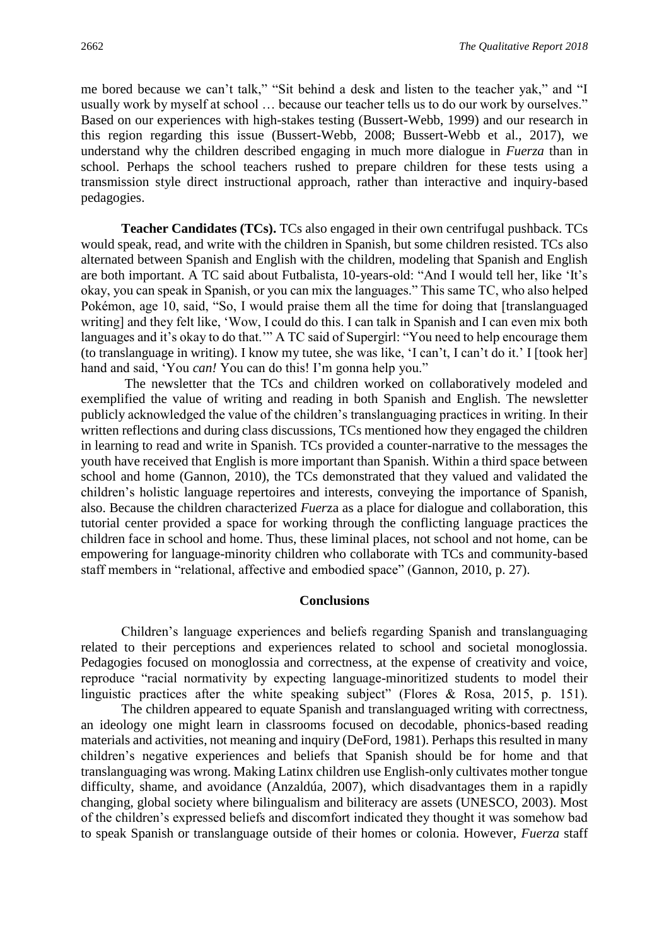me bored because we can't talk," "Sit behind a desk and listen to the teacher yak," and "I usually work by myself at school … because our teacher tells us to do our work by ourselves." Based on our experiences with high-stakes testing (Bussert-Webb, 1999) and our research in this region regarding this issue (Bussert-Webb, 2008; Bussert-Webb et al., 2017), we understand why the children described engaging in much more dialogue in *Fuerza* than in school. Perhaps the school teachers rushed to prepare children for these tests using a transmission style direct instructional approach, rather than interactive and inquiry-based pedagogies.

**Teacher Candidates (TCs).** TCs also engaged in their own centrifugal pushback. TCs would speak, read, and write with the children in Spanish, but some children resisted. TCs also alternated between Spanish and English with the children, modeling that Spanish and English are both important. A TC said about Futbalista, 10-years-old: "And I would tell her, like 'It's okay, you can speak in Spanish, or you can mix the languages." This same TC, who also helped Pokémon, age 10, said, "So, I would praise them all the time for doing that [translanguaged writing] and they felt like, 'Wow, I could do this. I can talk in Spanish and I can even mix both languages and it's okay to do that.'" A TC said of Supergirl: "You need to help encourage them (to translanguage in writing). I know my tutee, she was like, 'I can't, I can't do it.' I [took her] hand and said, 'You *can!* You can do this! I'm gonna help you."

The newsletter that the TCs and children worked on collaboratively modeled and exemplified the value of writing and reading in both Spanish and English. The newsletter publicly acknowledged the value of the children's translanguaging practices in writing. In their written reflections and during class discussions, TCs mentioned how they engaged the children in learning to read and write in Spanish. TCs provided a counter-narrative to the messages the youth have received that English is more important than Spanish. Within a third space between school and home (Gannon, 2010), the TCs demonstrated that they valued and validated the children's holistic language repertoires and interests, conveying the importance of Spanish, also. Because the children characterized *Fuer*za as a place for dialogue and collaboration, this tutorial center provided a space for working through the conflicting language practices the children face in school and home. Thus, these liminal places, not school and not home, can be empowering for language-minority children who collaborate with TCs and community-based staff members in "relational, affective and embodied space" (Gannon, 2010, p. 27).

#### **Conclusions**

Children's language experiences and beliefs regarding Spanish and translanguaging related to their perceptions and experiences related to school and societal monoglossia. Pedagogies focused on monoglossia and correctness, at the expense of creativity and voice, reproduce "racial normativity by expecting language-minoritized students to model their linguistic practices after the white speaking subject" (Flores & Rosa, 2015, p. 151).

The children appeared to equate Spanish and translanguaged writing with correctness, an ideology one might learn in classrooms focused on decodable, phonics-based reading materials and activities, not meaning and inquiry (DeFord, 1981). Perhaps this resulted in many children's negative experiences and beliefs that Spanish should be for home and that translanguaging was wrong. Making Latinx children use English-only cultivates mother tongue difficulty, shame, and avoidance (Anzaldúa, 2007), which disadvantages them in a rapidly changing, global society where bilingualism and biliteracy are assets (UNESCO, 2003). Most of the children's expressed beliefs and discomfort indicated they thought it was somehow bad to speak Spanish or translanguage outside of their homes or colonia. However, *Fuerza* staff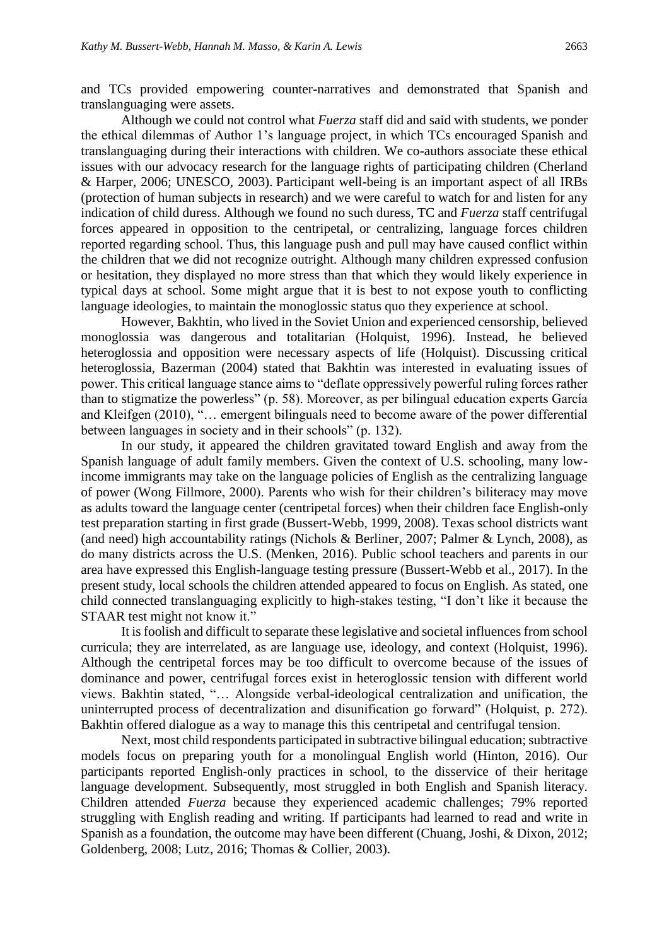and TCs provided empowering counter-narratives and demonstrated that Spanish and translanguaging were assets.

Although we could not control what *Fuerza* staff did and said with students, we ponder the ethical dilemmas of Author 1's language project, in which TCs encouraged Spanish and translanguaging during their interactions with children. We co-authors associate these ethical issues with our advocacy research for the language rights of participating children (Cherland & Harper, 2006; UNESCO, 2003). Participant well-being is an important aspect of all IRBs (protection of human subjects in research) and we were careful to watch for and listen for any indication of child duress. Although we found no such duress, TC and *Fuerza* staff centrifugal forces appeared in opposition to the centripetal, or centralizing, language forces children reported regarding school. Thus, this language push and pull may have caused conflict within the children that we did not recognize outright. Although many children expressed confusion or hesitation, they displayed no more stress than that which they would likely experience in typical days at school. Some might argue that it is best to not expose youth to conflicting language ideologies, to maintain the monoglossic status quo they experience at school.

However, Bakhtin, who lived in the Soviet Union and experienced censorship, believed monoglossia was dangerous and totalitarian (Holquist, 1996). Instead, he believed heteroglossia and opposition were necessary aspects of life (Holquist). Discussing critical heteroglossia, Bazerman (2004) stated that Bakhtin was interested in evaluating issues of power. This critical language stance aims to "deflate oppressively powerful ruling forces rather than to stigmatize the powerless" (p. 58). Moreover, as per bilingual education experts García and Kleifgen (2010), "… emergent bilinguals need to become aware of the power differential between languages in society and in their schools" (p. 132).

In our study, it appeared the children gravitated toward English and away from the Spanish language of adult family members. Given the context of U.S. schooling, many lowincome immigrants may take on the language policies of English as the centralizing language of power (Wong Fillmore, 2000). Parents who wish for their children's biliteracy may move as adults toward the language center (centripetal forces) when their children face English-only test preparation starting in first grade (Bussert-Webb, 1999, 2008). Texas school districts want (and need) high accountability ratings (Nichols & Berliner, 2007; Palmer & Lynch, 2008), as do many districts across the U.S. (Menken, 2016). Public school teachers and parents in our area have expressed this English-language testing pressure (Bussert-Webb et al., 2017). In the present study, local schools the children attended appeared to focus on English. As stated, one child connected translanguaging explicitly to high-stakes testing, "I don't like it because the STAAR test might not know it."

It is foolish and difficult to separate these legislative and societal influences from school curricula; they are interrelated, as are language use, ideology, and context (Holquist, 1996). Although the centripetal forces may be too difficult to overcome because of the issues of dominance and power, centrifugal forces exist in heteroglossic tension with different world views. Bakhtin stated, "… Alongside verbal-ideological centralization and unification, the uninterrupted process of decentralization and disunification go forward" (Holquist, p. 272). Bakhtin offered dialogue as a way to manage this this centripetal and centrifugal tension.

Next, most child respondents participated in subtractive bilingual education; subtractive models focus on preparing youth for a monolingual English world (Hinton, 2016). Our participants reported English-only practices in school, to the disservice of their heritage language development. Subsequently, most struggled in both English and Spanish literacy. Children attended *Fuerza* because they experienced academic challenges; 79% reported struggling with English reading and writing. If participants had learned to read and write in Spanish as a foundation, the outcome may have been different (Chuang, Joshi, & Dixon, 2012; Goldenberg, 2008; Lutz, 2016; Thomas & Collier, 2003).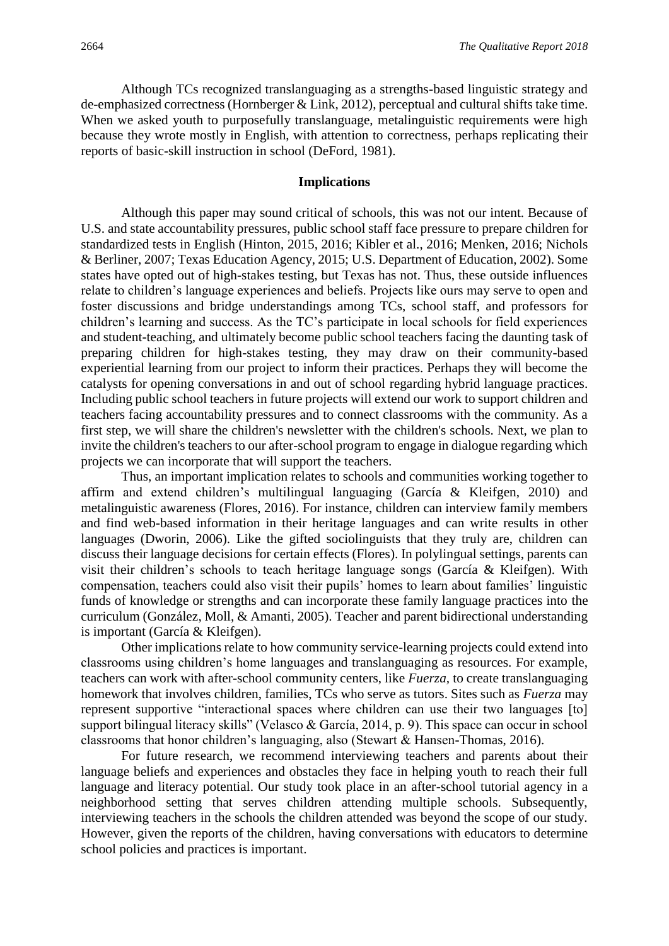Although TCs recognized translanguaging as a strengths-based linguistic strategy and de-emphasized correctness (Hornberger & Link, 2012), perceptual and cultural shifts take time. When we asked youth to purposefully translanguage, metalinguistic requirements were high because they wrote mostly in English, with attention to correctness, perhaps replicating their reports of basic-skill instruction in school (DeFord, 1981).

#### **Implications**

Although this paper may sound critical of schools, this was not our intent. Because of U.S. and state accountability pressures, public school staff face pressure to prepare children for standardized tests in English (Hinton, 2015, 2016; Kibler et al., 2016; Menken, 2016; Nichols & Berliner, 2007; Texas Education Agency, 2015; U.S. Department of Education, 2002). Some states have opted out of high-stakes testing, but Texas has not. Thus, these outside influences relate to children's language experiences and beliefs. Projects like ours may serve to open and foster discussions and bridge understandings among TCs, school staff, and professors for children's learning and success. As the TC's participate in local schools for field experiences and student-teaching, and ultimately become public school teachers facing the daunting task of preparing children for high-stakes testing, they may draw on their community-based experiential learning from our project to inform their practices. Perhaps they will become the catalysts for opening conversations in and out of school regarding hybrid language practices. Including public school teachers in future projects will extend our work to support children and teachers facing accountability pressures and to connect classrooms with the community. As a first step, we will share the children's newsletter with the children's schools. Next, we plan to invite the children's teachers to our after-school program to engage in dialogue regarding which projects we can incorporate that will support the teachers.

Thus, an important implication relates to schools and communities working together to affirm and extend children's multilingual languaging (García & Kleifgen, 2010) and metalinguistic awareness (Flores, 2016). For instance, children can interview family members and find web-based information in their heritage languages and can write results in other languages (Dworin, 2006). Like the gifted sociolinguists that they truly are, children can discuss their language decisions for certain effects (Flores). In polylingual settings, parents can visit their children's schools to teach heritage language songs (García & Kleifgen). With compensation, teachers could also visit their pupils' homes to learn about families' linguistic funds of knowledge or strengths and can incorporate these family language practices into the curriculum (González, Moll, & Amanti, 2005). Teacher and parent bidirectional understanding is important (García & Kleifgen).

Other implications relate to how community service-learning projects could extend into classrooms using children's home languages and translanguaging as resources. For example, teachers can work with after-school community centers, like *Fuerza,* to create translanguaging homework that involves children, families, TCs who serve as tutors. Sites such as *Fuerza* may represent supportive "interactional spaces where children can use their two languages [to] support bilingual literacy skills" (Velasco & García, 2014, p. 9). This space can occur in school classrooms that honor children's languaging, also (Stewart & Hansen-Thomas, 2016).

For future research, we recommend interviewing teachers and parents about their language beliefs and experiences and obstacles they face in helping youth to reach their full language and literacy potential. Our study took place in an after-school tutorial agency in a neighborhood setting that serves children attending multiple schools. Subsequently, interviewing teachers in the schools the children attended was beyond the scope of our study. However, given the reports of the children, having conversations with educators to determine school policies and practices is important.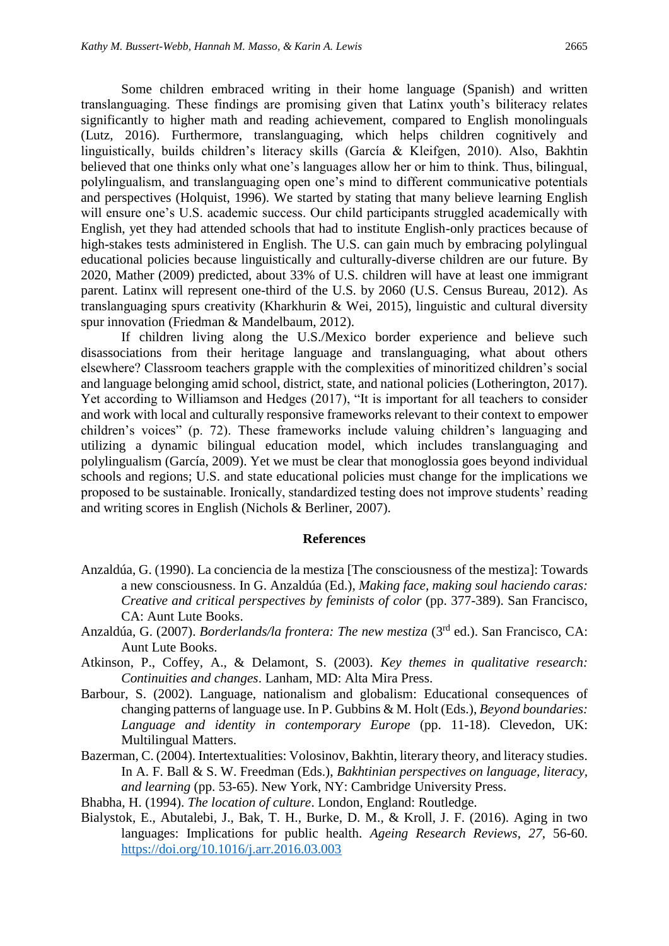Some children embraced writing in their home language (Spanish) and written translanguaging. These findings are promising given that Latinx youth's biliteracy relates significantly to higher math and reading achievement, compared to English monolinguals (Lutz, 2016). Furthermore, translanguaging, which helps children cognitively and linguistically, builds children's literacy skills (García & Kleifgen, 2010). Also, Bakhtin believed that one thinks only what one's languages allow her or him to think. Thus, bilingual, polylingualism, and translanguaging open one's mind to different communicative potentials and perspectives (Holquist, 1996). We started by stating that many believe learning English will ensure one's U.S. academic success. Our child participants struggled academically with English, yet they had attended schools that had to institute English-only practices because of high-stakes tests administered in English. The U.S. can gain much by embracing polylingual educational policies because linguistically and culturally-diverse children are our future. By 2020, Mather (2009) predicted, about 33% of U.S. children will have at least one immigrant parent. Latinx will represent one-third of the U.S. by 2060 (U.S. Census Bureau, 2012). As translanguaging spurs creativity (Kharkhurin & Wei, 2015), linguistic and cultural diversity spur innovation (Friedman & Mandelbaum, 2012).

If children living along the U.S./Mexico border experience and believe such disassociations from their heritage language and translanguaging, what about others elsewhere? Classroom teachers grapple with the complexities of minoritized children's social and language belonging amid school, district, state, and national policies (Lotherington, 2017). Yet according to Williamson and Hedges (2017), "It is important for all teachers to consider and work with local and culturally responsive frameworks relevant to their context to empower children's voices" (p. 72). These frameworks include valuing children's languaging and utilizing a dynamic bilingual education model, which includes translanguaging and polylingualism (García, 2009). Yet we must be clear that monoglossia goes beyond individual schools and regions; U.S. and state educational policies must change for the implications we proposed to be sustainable. Ironically, standardized testing does not improve students' reading and writing scores in English (Nichols & Berliner, 2007).

#### **References**

- Anzaldúa, G. (1990). La conciencia de la mestiza [The consciousness of the mestiza]: Towards a new consciousness. In G. Anzaldúa (Ed.), *Making face, making soul haciendo caras: Creative and critical perspectives by feminists of color* (pp. 377-389). San Francisco, CA: Aunt Lute Books.
- Anzaldúa, G. (2007). *Borderlands/la frontera: The new mestiza* (3<sup>rd</sup> ed.). San Francisco, CA: Aunt Lute Books.
- Atkinson, P., Coffey, A., & Delamont, S. (2003). *Key themes in qualitative research: Continuities and changes*. Lanham, MD: Alta Mira Press.
- Barbour, S. (2002). Language, nationalism and globalism: Educational consequences of changing patterns of language use. In P. Gubbins & M. Holt (Eds.), *Beyond boundaries: Language and identity in contemporary Europe* (pp. 11-18). Clevedon, UK: Multilingual Matters.
- Bazerman, C. (2004). Intertextualities: Volosinov, Bakhtin, literary theory, and literacy studies. In A. F. Ball & S. W. Freedman (Eds.), *Bakhtinian perspectives on language, literacy, and learning* (pp. 53-65). New York, NY: Cambridge University Press.
- Bhabha, H. (1994). *The location of culture*. London, England: Routledge.
- Bialystok, E., Abutalebi, J., Bak, T. H., Burke, D. M., & Kroll, J. F. (2016). Aging in two languages: Implications for public health. *Ageing Research Reviews*, *27*, 56-60. <https://doi.org/10.1016/j.arr.2016.03.003>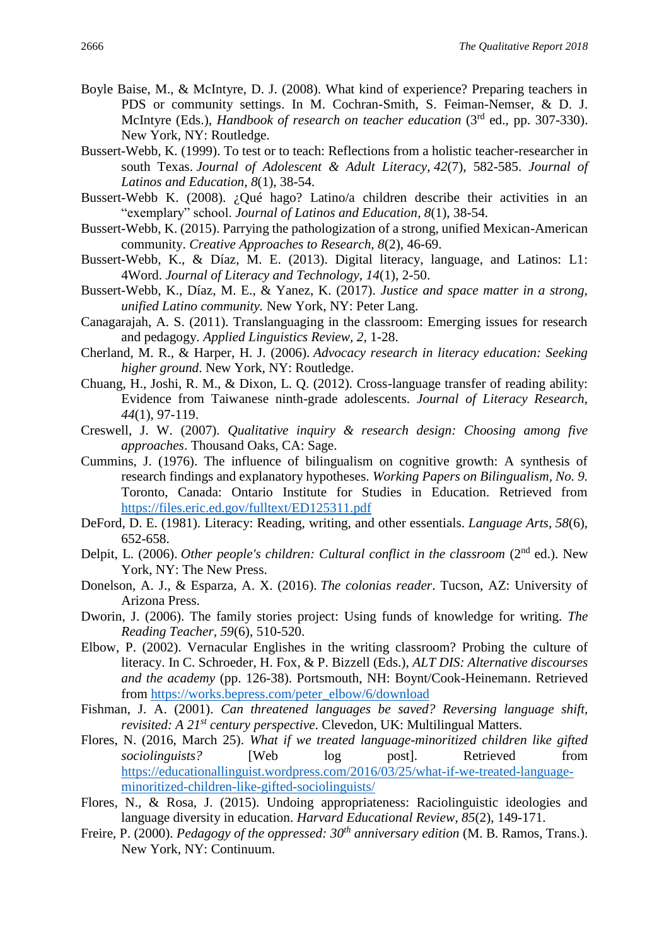- Boyle Baise, M., & McIntyre, D. J. (2008). What kind of experience? Preparing teachers in PDS or community settings. In M. Cochran-Smith, S. Feiman-Nemser, & D. J. McIntyre (Eds.), *Handbook of research on teacher education* (3rd ed., pp. 307-330). New York, NY: Routledge.
- Bussert-Webb, K. (1999). To test or to teach: Reflections from a holistic teacher-researcher in south Texas. *Journal of Adolescent & Adult Literacy*, *42*(7), 582-585. *Journal of Latinos and Education, 8*(1), 38-54.
- Bussert-Webb K. (2008). ¿Qué hago? Latino/a children describe their activities in an "exemplary" school. *Journal of Latinos and Education, 8*(1), 38-54.
- Bussert-Webb, K. (2015). Parrying the pathologization of a strong, unified Mexican-American community. *Creative Approaches to Research, 8*(2), 46-69.
- Bussert-Webb, K., & Díaz, M. E. (2013). Digital literacy, language, and Latinos: L1: 4Word. *Journal of Literacy and Technology*, *14*(1), 2-50.
- Bussert-Webb, K., Díaz, M. E., & Yanez, K. (2017). *Justice and space matter in a strong, unified Latino community.* New York, NY: Peter Lang.
- Canagarajah, A. S. (2011). Translanguaging in the classroom: Emerging issues for research and pedagogy. *Applied Linguistics Review, 2,* 1-28.
- Cherland, M. R., & Harper, H. J. (2006). *Advocacy research in literacy education: Seeking higher ground*. New York, NY: Routledge.
- Chuang, H., Joshi, R. M., & Dixon, L. Q. (2012). Cross-language transfer of reading ability: Evidence from Taiwanese ninth-grade adolescents. *Journal of Literacy Research, 44*(1), 97-119.
- Creswell, J. W. (2007). *Qualitative inquiry & research design: Choosing among five approaches*. Thousand Oaks, CA: Sage.
- Cummins, J. (1976). The influence of bilingualism on cognitive growth: A synthesis of research findings and explanatory hypotheses. *Working Papers on Bilingualism, No. 9.*  Toronto, Canada: Ontario Institute for Studies in Education. Retrieved from <https://files.eric.ed.gov/fulltext/ED125311.pdf>
- DeFord, D. E. (1981). Literacy: Reading, writing, and other essentials. *Language Arts*, *58*(6), 652-658.
- Delpit, L. (2006). *Other people's children: Cultural conflict in the classroom* (2<sup>nd</sup> ed.). New York, NY: The New Press.
- Donelson, A. J., & Esparza, A. X. (2016). *The colonias reader*. Tucson, AZ: University of Arizona Press.
- Dworin, J. (2006). The family stories project: Using funds of knowledge for writing. *The Reading Teacher, 59*(6), 510-520.
- Elbow, P. (2002). Vernacular Englishes in the writing classroom? Probing the culture of literacy. In C. Schroeder, H. Fox, & P. Bizzell (Eds.), *ALT DIS: Alternative discourses and the academy* (pp. 126-38). Portsmouth, NH: Boynt/Cook-Heinemann. Retrieved from [https://works.bepress.com/peter\\_elbow/6/download](https://works.bepress.com/peter_elbow/6/download)
- Fishman, J. A. (2001). *Can threatened languages be saved? Reversing language shift, revisited: A 21st century perspective*. Clevedon, UK: Multilingual Matters.
- Flores, N. (2016, March 25). *What if we treated language-minoritized children like gifted sociolinguists?* [Web log post]. Retrieved from [https://educationallinguist.wordpress.com/2016/03/25/what-if-we-treated-language](https://educationallinguist.wordpress.com/2016/03/25/what-if-we-treated-language-minoritized-children-like-gifted-sociolinguists/)[minoritized-children-like-gifted-sociolinguists/](https://educationallinguist.wordpress.com/2016/03/25/what-if-we-treated-language-minoritized-children-like-gifted-sociolinguists/)
- Flores, N., & Rosa, J. (2015). Undoing appropriateness: Raciolinguistic ideologies and language diversity in education. *Harvard Educational Review*, *85*(2), 149-171.
- Freire, P. (2000). *Pedagogy of the oppressed: 30th anniversary edition* (M. B. Ramos, Trans.). New York, NY: Continuum.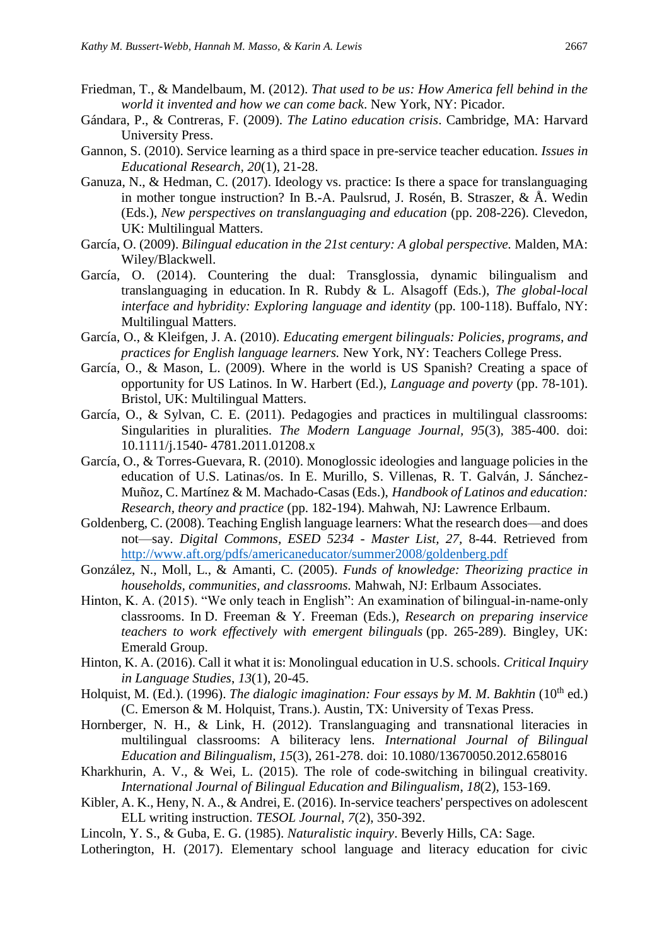- Friedman, T., & Mandelbaum, M. (2012). *That used to be us: How America fell behind in the world it invented and how we can come back*. New York, NY: Picador.
- Gándara, P., & Contreras, F. (2009). *The Latino education crisis*. Cambridge, MA: Harvard University Press.
- Gannon, S. (2010). Service learning as a third space in pre-service teacher education. *Issues in Educational Research, 20*(1), 21-28.
- Ganuza, N., & Hedman, C. (2017). Ideology vs. practice: Is there a space for translanguaging in mother tongue instruction? In B.-A. Paulsrud, J. Rosén, B. Straszer, & Å. Wedin (Eds.), *New perspectives on translanguaging and education* (pp. 208-226). Clevedon, UK: Multilingual Matters.
- García, O. (2009). *Bilingual education in the 21st century: A global perspective.* Malden, MA: Wiley/Blackwell.
- García, O. (2014). Countering the dual: Transglossia, dynamic bilingualism and translanguaging in education. In R. Rubdy & L. Alsagoff (Eds.), *The global-local interface and hybridity: Exploring language and identity (pp. 100-118). Buffalo, NY:* Multilingual Matters.
- García, O., & Kleifgen, J. A. (2010). *Educating emergent bilinguals: Policies, programs, and practices for English language learners.* New York, NY: Teachers College Press.
- García, O., & Mason, L. (2009). Where in the world is US Spanish? Creating a space of opportunity for US Latinos. In W. Harbert (Ed.), *Language and poverty* (pp. 78-101). Bristol, UK: Multilingual Matters.
- García, O., & Sylvan, C. E. (2011). Pedagogies and practices in multilingual classrooms: Singularities in pluralities. *The Modern Language Journal, 95*(3), 385-400. doi: 10.1111/j.1540- 4781.2011.01208.x
- García, O., & Torres-Guevara, R. (2010). Monoglossic ideologies and language policies in the education of U.S. Latinas/os. In E. Murillo, S. Villenas, R. T. Galván, J. Sánchez-Muñoz, C. Martínez & M. Machado-Casas (Eds.), *Handbook of Latinos and education: Research, theory and practice* (pp. 182-194). Mahwah, NJ: Lawrence Erlbaum.
- Goldenberg, C. (2008). Teaching English language learners: What the research does—and does not—say. *Digital Commons, ESED 5234 - Master List, 27,* 8-44. Retrieved from <http://www.aft.org/pdfs/americaneducator/summer2008/goldenberg.pdf>
- González, N., Moll, L., & Amanti, C. (2005). *Funds of knowledge: Theorizing practice in households, communities, and classrooms.* Mahwah, NJ: Erlbaum Associates.
- Hinton, K. A. (2015). "We only teach in English": An examination of bilingual-in-name-only classrooms. In D. Freeman & Y. Freeman (Eds.), *Research on preparing inservice teachers to work effectively with emergent bilinguals* (pp. 265-289). Bingley, UK: Emerald Group.
- Hinton, K. A. (2016). Call it what it is: Monolingual education in U.S. schools. *Critical Inquiry in Language Studies*, *13*(1), 20-45.
- Holquist, M. (Ed.). (1996). *The dialogic imagination: Four essays by M. M. Bakhtin* (10<sup>th</sup> ed.) (C. Emerson & M. Holquist, Trans.). Austin, TX: University of Texas Press.
- Hornberger, N. H., & Link, H. (2012). Translanguaging and transnational literacies in multilingual classrooms: A biliteracy lens. *International Journal of Bilingual Education and Bilingualism, 15*(3), 261-278. doi: 10.1080/13670050.2012.658016
- Kharkhurin, A. V., & Wei, L. (2015). The role of code-switching in bilingual creativity. *International Journal of Bilingual Education and Bilingualism*, *18*(2), 153-169.
- Kibler, A. K., Heny, N. A., & Andrei, E. (2016). In-service teachers' perspectives on adolescent ELL writing instruction. *TESOL Journal*, *7*(2), 350-392.
- Lincoln, Y. S., & Guba, E. G. (1985). *Naturalistic inquiry*. Beverly Hills, CA: Sage.

Lotherington, H. (2017). Elementary school language and literacy education for civic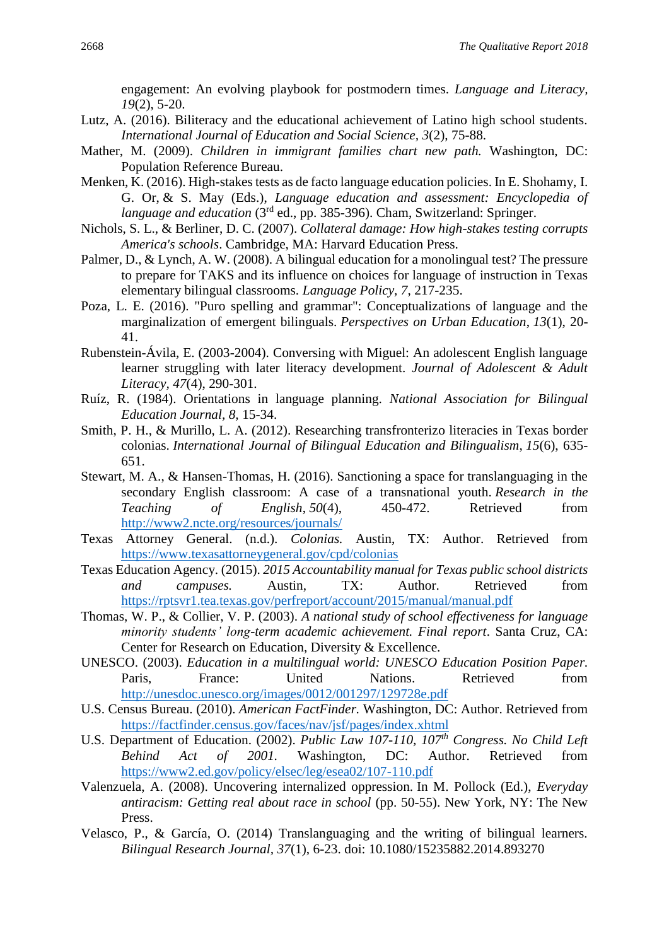engagement: An evolving playbook for postmodern times. *Language and Literacy, 19*(2), 5-20.

- Lutz, A. (2016). Biliteracy and the educational achievement of Latino high school students. *International Journal of Education and Social Science, 3*(2), 75-88.
- Mather, M. (2009). *Children in immigrant families chart new path.* Washington, DC: Population Reference Bureau.
- Menken, K. (2016). High-stakes tests as de facto language education policies. In E. Shohamy, I. G. Or, & S. May (Eds.), *Language education and assessment: Encyclopedia of language and education* (3rd ed., pp. 385-396). Cham, Switzerland: Springer.
- Nichols, S. L., & Berliner, D. C. (2007). *Collateral damage: How high-stakes testing corrupts America's schools*. Cambridge, MA: Harvard Education Press.
- Palmer, D., & Lynch, A. W. (2008). A bilingual education for a monolingual test? The pressure to prepare for TAKS and its influence on choices for language of instruction in Texas elementary bilingual classrooms. *Language Policy, 7*, 217-235.
- Poza, L. E. (2016). "Puro spelling and grammar": Conceptualizations of language and the marginalization of emergent bilinguals. *Perspectives on Urban Education*, *13*(1), 20- 41.
- Rubenstein-Ávila, E. (2003-2004). Conversing with Miguel: An adolescent English language learner struggling with later literacy development. *Journal of Adolescent & Adult Literacy, 47*(4), 290-301.
- Ruíz, R. (1984). Orientations in language planning. *National Association for Bilingual Education Journal, 8,* 15-34.
- Smith, P. H., & Murillo, L. A. (2012). Researching transfronterizo literacies in Texas border colonias. *International Journal of Bilingual Education and Bilingualism*, *15*(6), 635- 651.
- Stewart, M. A., & Hansen-Thomas, H. (2016). Sanctioning a space for translanguaging in the secondary English classroom: A case of a transnational youth. *Research in the Teaching of English*, *50*(4), 450-472. Retrieved from <http://www2.ncte.org/resources/journals/>
- Texas Attorney General. (n.d.). *Colonias.* Austin, TX: Author. Retrieved from <https://www.texasattorneygeneral.gov/cpd/colonias>
- Texas Education Agency. (2015). *2015 Accountability manual for Texas public school districts and campuses.* Austin, TX: Author. Retrieved from <https://rptsvr1.tea.texas.gov/perfreport/account/2015/manual/manual.pdf>
- Thomas, W. P., & Collier, V. P. (2003). *A national study of school effectiveness for language minority students' long-term academic achievement. Final report*. Santa Cruz, CA: Center for Research on Education, Diversity & Excellence.
- UNESCO. (2003). *Education in a multilingual world: UNESCO Education Position Paper.*  Paris, France: United Nations. Retrieved from <http://unesdoc.unesco.org/images/0012/001297/129728e.pdf>
- U.S. Census Bureau. (2010). *American FactFinder.* Washington, DC: Author. Retrieved from <https://factfinder.census.gov/faces/nav/jsf/pages/index.xhtml>
- U.S. Department of Education. (2002). *Public Law 107-110, 107th Congress. No Child Left Behind Act of 2001.* Washington, DC: Author. Retrieved fro[m](file:///C:/Users/KB0166437/AppData/Local/Microsoft/Windows/Temporary%20Internet%20Files/Content.Outlook/WGKP3QTB/) <https://www2.ed.gov/policy/elsec/leg/esea02/107-110.pdf>
- Valenzuela, A. (2008). Uncovering internalized oppression. In M. Pollock (Ed.), *Everyday antiracism: Getting real about race in school* (pp. 50-55). New York, NY: The New Press.
- Velasco, P., & García, O. (2014) Translanguaging and the writing of bilingual learners. *Bilingual Research Journal, 37*(1), 6-23. doi: 10.1080/15235882.2014.893270